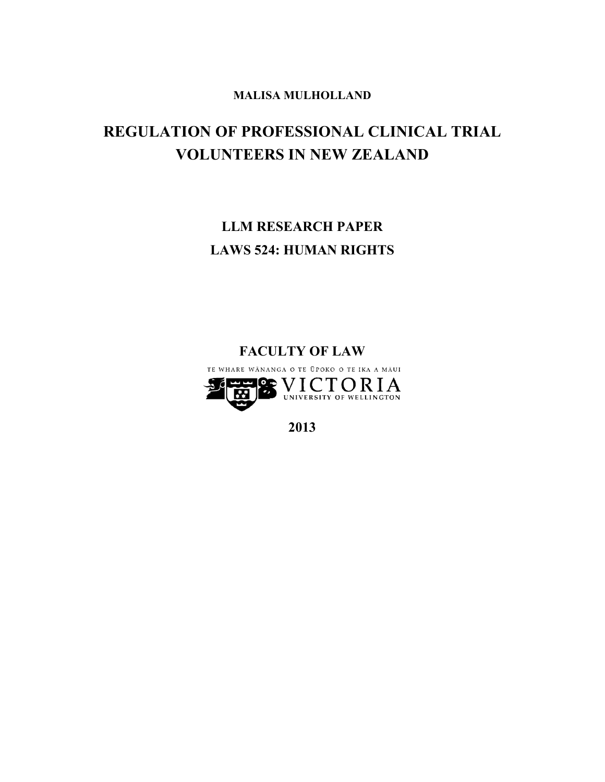#### **MALISA MULHOLLAND**

# **REGULATION OF PROFESSIONAL CLINICAL TRIAL VOLUNTEERS IN NEW ZEALAND**

# **LLM RESEARCH PAPER LAWS 524: HUMAN RIGHTS**

## **FACULTY OF LAW**

TE WHARE WĀNANGA O TE ŪPOKO O TE IKA A MĀUI



**2013**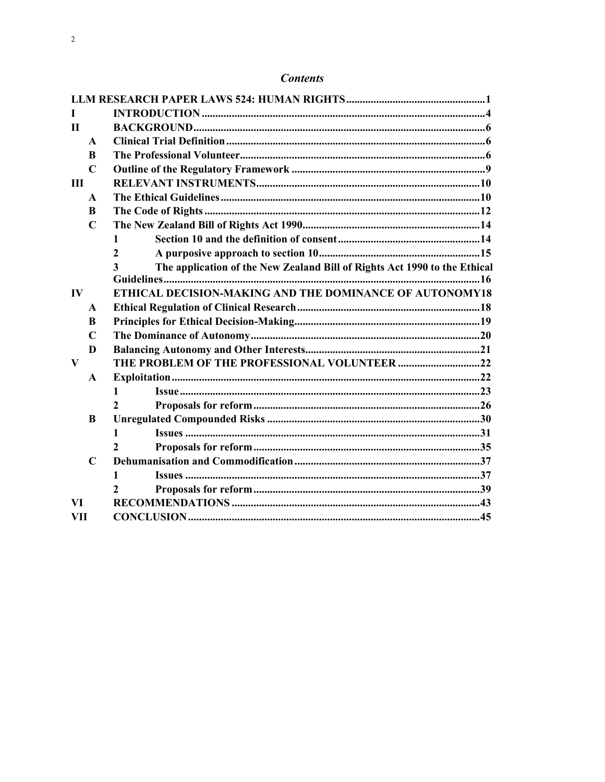| <b>Contents</b> |
|-----------------|
|-----------------|

| $\mathbf{I}$ |                                                                                |  |
|--------------|--------------------------------------------------------------------------------|--|
| $\mathbf{H}$ |                                                                                |  |
| $\mathbf{A}$ |                                                                                |  |
| B            |                                                                                |  |
| $\mathbf C$  |                                                                                |  |
| III          |                                                                                |  |
| $\mathbf{A}$ |                                                                                |  |
| B            |                                                                                |  |
| $\mathbf C$  |                                                                                |  |
|              | 1                                                                              |  |
|              | 2                                                                              |  |
|              | The application of the New Zealand Bill of Rights Act 1990 to the Ethical<br>3 |  |
|              |                                                                                |  |
| IV           | ETHICAL DECISION-MAKING AND THE DOMINANCE OF AUTONOMY18                        |  |
| A            |                                                                                |  |
| B            |                                                                                |  |
| $\mathbf C$  |                                                                                |  |
| D            |                                                                                |  |
| V            | THE PROBLEM OF THE PROFESSIONAL VOLUNTEER 22                                   |  |
| A            |                                                                                |  |
|              | 1                                                                              |  |
|              | 2                                                                              |  |
| B            |                                                                                |  |
|              | 1                                                                              |  |
|              | 2                                                                              |  |
| $\mathbf C$  |                                                                                |  |
|              | 1                                                                              |  |
|              | $\mathbf{2}$                                                                   |  |
| VI           |                                                                                |  |
| <b>VII</b>   |                                                                                |  |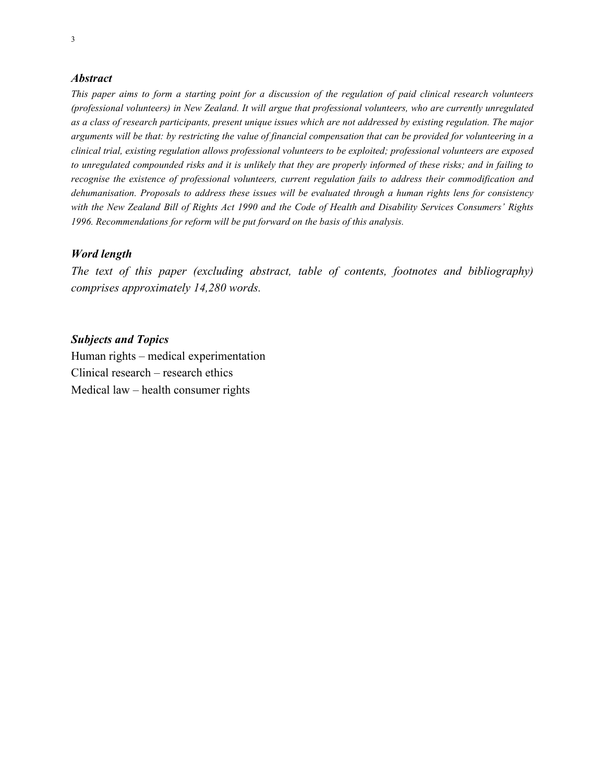#### *Abstract*

*This paper aims to form a starting point for a discussion of the regulation of paid clinical research volunteers (professional volunteers) in New Zealand. It will argue that professional volunteers, who are currently unregulated as a class of research participants, present unique issues which are not addressed by existing regulation. The major arguments will be that: by restricting the value of financial compensation that can be provided for volunteering in a clinical trial, existing regulation allows professional volunteers to be exploited; professional volunteers are exposed to unregulated compounded risks and it is unlikely that they are properly informed of these risks; and in failing to recognise the existence of professional volunteers, current regulation fails to address their commodification and dehumanisation. Proposals to address these issues will be evaluated through a human rights lens for consistency with the New Zealand Bill of Rights Act 1990 and the Code of Health and Disability Services Consumers' Rights 1996. Recommendations for reform will be put forward on the basis of this analysis.* 

#### *Word length*

*The text of this paper (excluding abstract, table of contents, footnotes and bibliography) comprises approximately 14,280 words.* 

#### *Subjects and Topics*

Human rights – medical experimentation Clinical research – research ethics Medical law – health consumer rights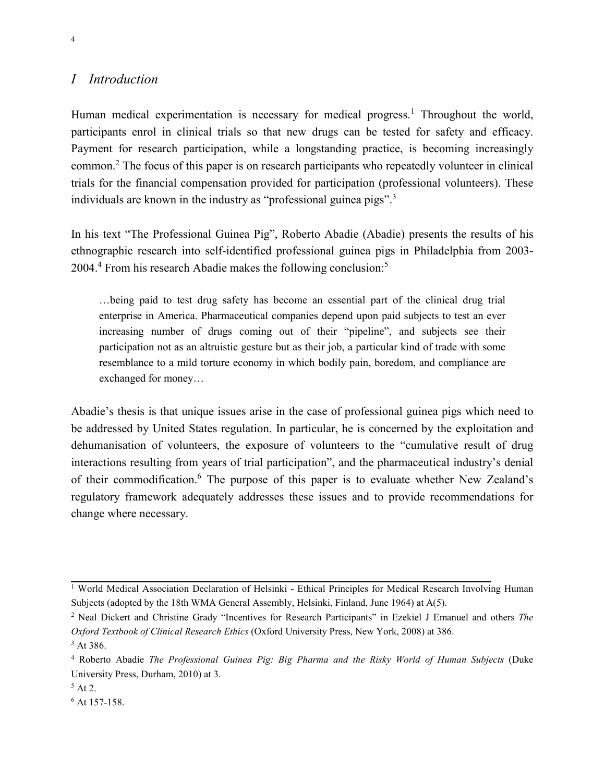#### *I Introduction*

Human medical experimentation is necessary for medical progress.<sup>1</sup> Throughout the world, participants enrol in clinical trials so that new drugs can be tested for safety and efficacy. Payment for research participation, while a longstanding practice, is becoming increasingly common.<sup>2</sup> The focus of this paper is on research participants who repeatedly volunteer in clinical trials for the financial compensation provided for participation (professional volunteers). These individuals are known in the industry as "professional guinea pigs".<sup>3</sup>

In his text "The Professional Guinea Pig", Roberto Abadie (Abadie) presents the results of his ethnographic research into self-identified professional guinea pigs in Philadelphia from 2003- 2004.<sup>4</sup> From his research Abadie makes the following conclusion:<sup>5</sup>

…being paid to test drug safety has become an essential part of the clinical drug trial enterprise in America. Pharmaceutical companies depend upon paid subjects to test an ever increasing number of drugs coming out of their "pipeline", and subjects see their participation not as an altruistic gesture but as their job, a particular kind of trade with some resemblance to a mild torture economy in which bodily pain, boredom, and compliance are exchanged for money…

Abadie's thesis is that unique issues arise in the case of professional guinea pigs which need to be addressed by United States regulation. In particular, he is concerned by the exploitation and dehumanisation of volunteers, the exposure of volunteers to the "cumulative result of drug interactions resulting from years of trial participation", and the pharmaceutical industry's denial of their commodification.<sup>6</sup> The purpose of this paper is to evaluate whether New Zealand's regulatory framework adequately addresses these issues and to provide recommendations for change where necessary.

<sup>&</sup>lt;sup>1</sup> World Medical Association Declaration of Helsinki - Ethical Principles for Medical Research Involving Human Subjects (adopted by the 18th WMA General Assembly, Helsinki, Finland, June 1964) at A(5).

<sup>2</sup> Neal Dickert and Christine Grady "Incentives for Research Participants" in Ezekiel J Emanuel and others *The Oxford Textbook of Clinical Research Ethics* (Oxford University Press, New York, 2008) at 386.

 $3$  At 386.

<sup>&</sup>lt;sup>4</sup> Roberto Abadie *The Professional Guinea Pig: Big Pharma and the Risky World of Human Subjects (Duke* University Press, Durham, 2010) at 3.

 $<sup>5</sup>$  At 2.</sup>

<sup>6</sup> At 157-158.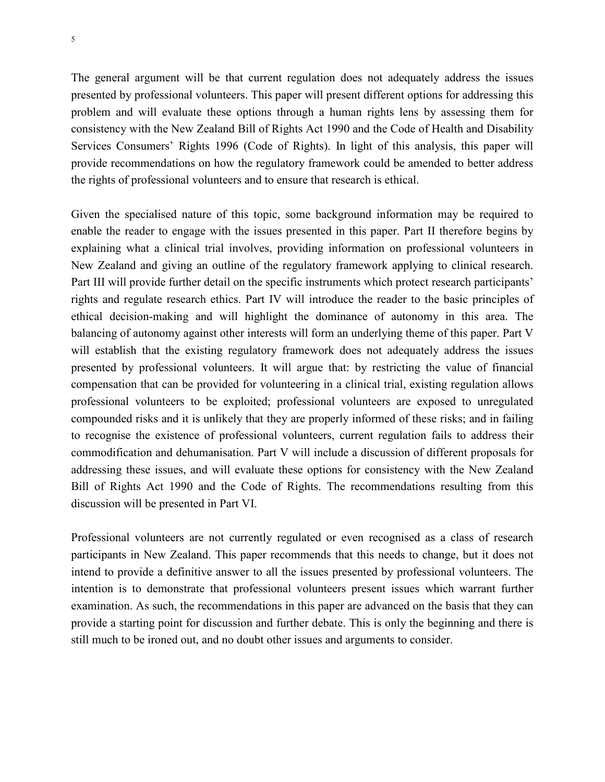The general argument will be that current regulation does not adequately address the issues presented by professional volunteers. This paper will present different options for addressing this problem and will evaluate these options through a human rights lens by assessing them for consistency with the New Zealand Bill of Rights Act 1990 and the Code of Health and Disability Services Consumers' Rights 1996 (Code of Rights). In light of this analysis, this paper will provide recommendations on how the regulatory framework could be amended to better address the rights of professional volunteers and to ensure that research is ethical.

Given the specialised nature of this topic, some background information may be required to enable the reader to engage with the issues presented in this paper. Part II therefore begins by explaining what a clinical trial involves, providing information on professional volunteers in New Zealand and giving an outline of the regulatory framework applying to clinical research. Part III will provide further detail on the specific instruments which protect research participants' rights and regulate research ethics. Part IV will introduce the reader to the basic principles of ethical decision-making and will highlight the dominance of autonomy in this area. The balancing of autonomy against other interests will form an underlying theme of this paper. Part V will establish that the existing regulatory framework does not adequately address the issues presented by professional volunteers. It will argue that: by restricting the value of financial compensation that can be provided for volunteering in a clinical trial, existing regulation allows professional volunteers to be exploited; professional volunteers are exposed to unregulated compounded risks and it is unlikely that they are properly informed of these risks; and in failing to recognise the existence of professional volunteers, current regulation fails to address their commodification and dehumanisation. Part V will include a discussion of different proposals for addressing these issues, and will evaluate these options for consistency with the New Zealand Bill of Rights Act 1990 and the Code of Rights. The recommendations resulting from this discussion will be presented in Part VI.

Professional volunteers are not currently regulated or even recognised as a class of research participants in New Zealand. This paper recommends that this needs to change, but it does not intend to provide a definitive answer to all the issues presented by professional volunteers. The intention is to demonstrate that professional volunteers present issues which warrant further examination. As such, the recommendations in this paper are advanced on the basis that they can provide a starting point for discussion and further debate. This is only the beginning and there is still much to be ironed out, and no doubt other issues and arguments to consider.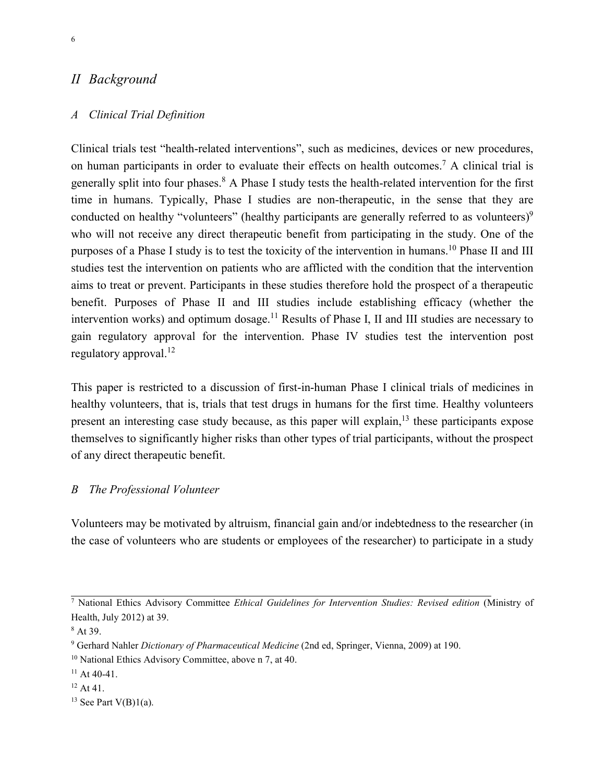## *II Background*

#### *A Clinical Trial Definition*

Clinical trials test "health-related interventions", such as medicines, devices or new procedures, on human participants in order to evaluate their effects on health outcomes.<sup>7</sup> A clinical trial is generally split into four phases.<sup>8</sup> A Phase I study tests the health-related intervention for the first time in humans. Typically, Phase I studies are non-therapeutic, in the sense that they are conducted on healthy "volunteers" (healthy participants are generally referred to as volunteers) $\theta$ who will not receive any direct therapeutic benefit from participating in the study. One of the purposes of a Phase I study is to test the toxicity of the intervention in humans.<sup>10</sup> Phase II and III studies test the intervention on patients who are afflicted with the condition that the intervention aims to treat or prevent. Participants in these studies therefore hold the prospect of a therapeutic benefit. Purposes of Phase II and III studies include establishing efficacy (whether the intervention works) and optimum dosage.<sup>11</sup> Results of Phase I, II and III studies are necessary to gain regulatory approval for the intervention. Phase IV studies test the intervention post regulatory approval.<sup>12</sup>

This paper is restricted to a discussion of first-in-human Phase I clinical trials of medicines in healthy volunteers, that is, trials that test drugs in humans for the first time. Healthy volunteers present an interesting case study because, as this paper will explain, $13$  these participants expose themselves to significantly higher risks than other types of trial participants, without the prospect of any direct therapeutic benefit.

#### *B The Professional Volunteer*

Volunteers may be motivated by altruism, financial gain and/or indebtedness to the researcher (in the case of volunteers who are students or employees of the researcher) to participate in a study

<sup>7</sup> National Ethics Advisory Committee *Ethical Guidelines for Intervention Studies: Revised edition* (Ministry of Health, July 2012) at 39.

<sup>8</sup> At 39.

<sup>9</sup> Gerhard Nahler *Dictionary of Pharmaceutical Medicine* (2nd ed, Springer, Vienna, 2009) at 190.

<sup>&</sup>lt;sup>10</sup> National Ethics Advisory Committee, above n 7, at 40.

 $11$  At 40-41.

 $12$  At 41.

 $13$  See Part V(B)1(a).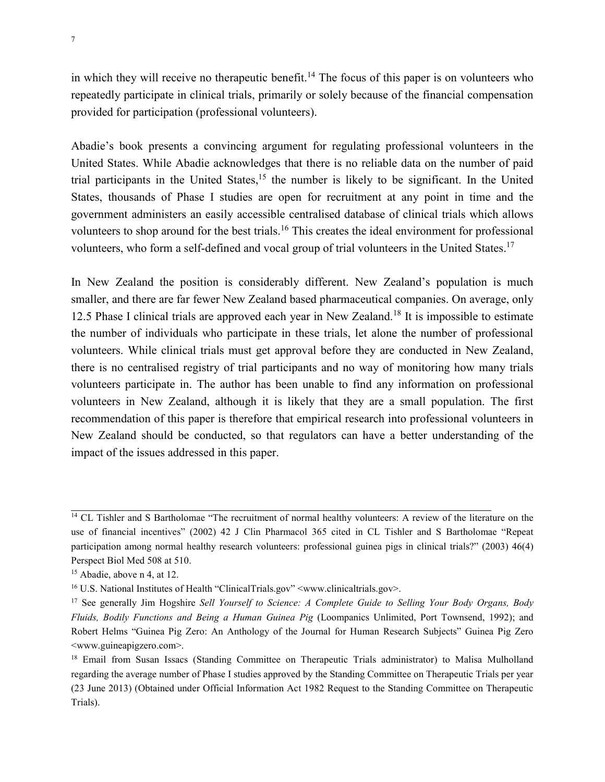in which they will receive no therapeutic benefit.<sup>14</sup> The focus of this paper is on volunteers who repeatedly participate in clinical trials, primarily or solely because of the financial compensation provided for participation (professional volunteers).

Abadie's book presents a convincing argument for regulating professional volunteers in the United States. While Abadie acknowledges that there is no reliable data on the number of paid trial participants in the United States,<sup>15</sup> the number is likely to be significant. In the United States, thousands of Phase I studies are open for recruitment at any point in time and the government administers an easily accessible centralised database of clinical trials which allows volunteers to shop around for the best trials.<sup>16</sup> This creates the ideal environment for professional volunteers, who form a self-defined and vocal group of trial volunteers in the United States.<sup>17</sup>

In New Zealand the position is considerably different. New Zealand's population is much smaller, and there are far fewer New Zealand based pharmaceutical companies. On average, only 12.5 Phase I clinical trials are approved each year in New Zealand.<sup>18</sup> It is impossible to estimate the number of individuals who participate in these trials, let alone the number of professional volunteers. While clinical trials must get approval before they are conducted in New Zealand, there is no centralised registry of trial participants and no way of monitoring how many trials volunteers participate in. The author has been unable to find any information on professional volunteers in New Zealand, although it is likely that they are a small population. The first recommendation of this paper is therefore that empirical research into professional volunteers in New Zealand should be conducted, so that regulators can have a better understanding of the impact of the issues addressed in this paper.

 $14$  CL Tishler and S Bartholomae "The recruitment of normal healthy volunteers: A review of the literature on the use of financial incentives" (2002) 42 J Clin Pharmacol 365 cited in CL Tishler and S Bartholomae "Repeat participation among normal healthy research volunteers: professional guinea pigs in clinical trials?" (2003) 46(4) Perspect Biol Med 508 at 510.

<sup>&</sup>lt;sup>15</sup> Abadie, above n 4, at 12.

<sup>&</sup>lt;sup>16</sup> U.S. National Institutes of Health "ClinicalTrials.gov" <www.clinicaltrials.gov>.

<sup>17</sup> See generally Jim Hogshire *Sell Yourself to Science: A Complete Guide to Selling Your Body Organs, Body Fluids, Bodily Functions and Being a Human Guinea Pig* (Loompanics Unlimited, Port Townsend, 1992); and Robert Helms "Guinea Pig Zero: An Anthology of the Journal for Human Research Subjects" Guinea Pig Zero <www.guineapigzero.com>.

<sup>&</sup>lt;sup>18</sup> Email from Susan Issacs (Standing Committee on Therapeutic Trials administrator) to Malisa Mulholland regarding the average number of Phase I studies approved by the Standing Committee on Therapeutic Trials per year (23 June 2013) (Obtained under Official Information Act 1982 Request to the Standing Committee on Therapeutic Trials).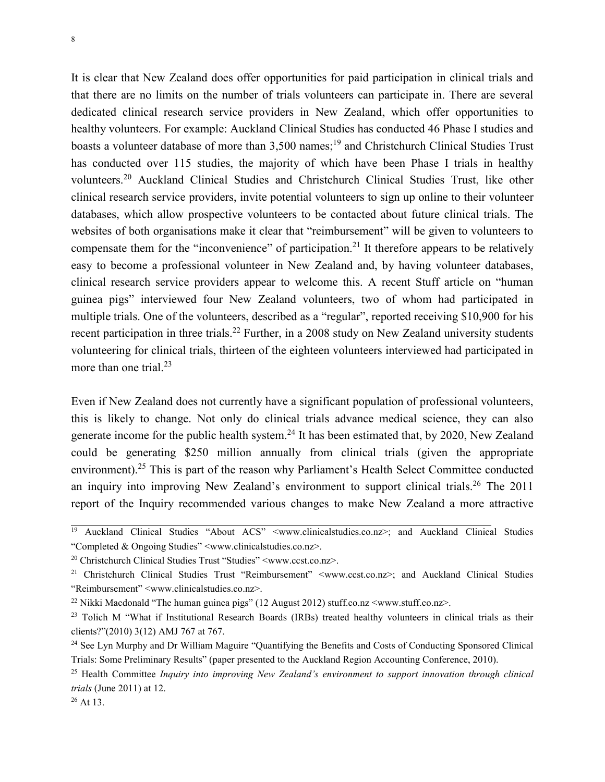It is clear that New Zealand does offer opportunities for paid participation in clinical trials and that there are no limits on the number of trials volunteers can participate in. There are several dedicated clinical research service providers in New Zealand, which offer opportunities to healthy volunteers. For example: Auckland Clinical Studies has conducted 46 Phase I studies and boasts a volunteer database of more than 3,500 names;<sup>19</sup> and Christchurch Clinical Studies Trust has conducted over 115 studies, the majority of which have been Phase I trials in healthy volunteers.<sup>20</sup> Auckland Clinical Studies and Christchurch Clinical Studies Trust, like other clinical research service providers, invite potential volunteers to sign up online to their volunteer databases, which allow prospective volunteers to be contacted about future clinical trials. The websites of both organisations make it clear that "reimbursement" will be given to volunteers to compensate them for the "inconvenience" of participation.<sup>21</sup> It therefore appears to be relatively easy to become a professional volunteer in New Zealand and, by having volunteer databases, clinical research service providers appear to welcome this. A recent Stuff article on "human guinea pigs" interviewed four New Zealand volunteers, two of whom had participated in multiple trials. One of the volunteers, described as a "regular", reported receiving \$10,900 for his recent participation in three trials.<sup>22</sup> Further, in a 2008 study on New Zealand university students volunteering for clinical trials, thirteen of the eighteen volunteers interviewed had participated in more than one trial.<sup>23</sup>

Even if New Zealand does not currently have a significant population of professional volunteers, this is likely to change. Not only do clinical trials advance medical science, they can also generate income for the public health system.<sup>24</sup> It has been estimated that, by 2020, New Zealand could be generating \$250 million annually from clinical trials (given the appropriate environment).<sup>25</sup> This is part of the reason why Parliament's Health Select Committee conducted an inquiry into improving New Zealand's environment to support clinical trials.<sup>26</sup> The 2011 report of the Inquiry recommended various changes to make New Zealand a more attractive

<sup>&</sup>lt;sup>19</sup> Auckland Clinical Studies "About ACS" <www.clinicalstudies.co.nz>; and Auckland Clinical Studies "Completed & Ongoing Studies" <www.clinicalstudies.co.nz>.

<sup>20</sup> Christchurch Clinical Studies Trust "Studies" <www.ccst.co.nz>.

<sup>&</sup>lt;sup>21</sup> Christchurch Clinical Studies Trust "Reimbursement" <www.ccst.co.nz>; and Auckland Clinical Studies "Reimbursement" <www.clinicalstudies.co.nz>.

<sup>22</sup> Nikki Macdonald "The human guinea pigs" (12 August 2012) stuff.co.nz <www.stuff.co.nz>.

<sup>&</sup>lt;sup>23</sup> Tolich M "What if Institutional Research Boards (IRBs) treated healthy volunteers in clinical trials as their clients?"(2010) 3(12) AMJ 767 at 767.

<sup>&</sup>lt;sup>24</sup> See Lyn Murphy and Dr William Maguire "Quantifying the Benefits and Costs of Conducting Sponsored Clinical Trials: Some Preliminary Results" (paper presented to the Auckland Region Accounting Conference, 2010).

<sup>25</sup> Health Committee *Inquiry into improving New Zealand's environment to support innovation through clinical trials* (June 2011) at 12.

 $26$  At 13.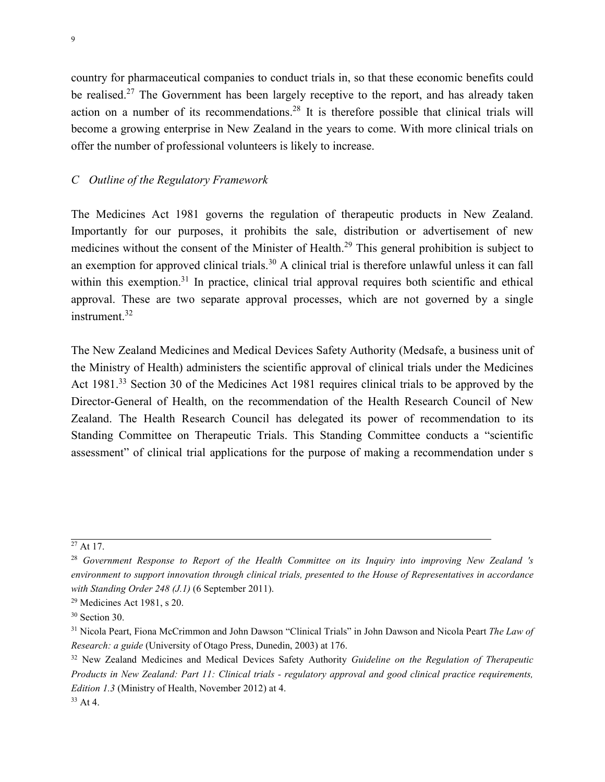country for pharmaceutical companies to conduct trials in, so that these economic benefits could be realised.<sup>27</sup> The Government has been largely receptive to the report, and has already taken action on a number of its recommendations.<sup>28</sup> It is therefore possible that clinical trials will become a growing enterprise in New Zealand in the years to come. With more clinical trials on offer the number of professional volunteers is likely to increase.

#### *C Outline of the Regulatory Framework*

The Medicines Act 1981 governs the regulation of therapeutic products in New Zealand. Importantly for our purposes, it prohibits the sale, distribution or advertisement of new medicines without the consent of the Minister of Health.<sup>29</sup> This general prohibition is subject to an exemption for approved clinical trials.<sup>30</sup> A clinical trial is therefore unlawful unless it can fall within this exemption.<sup>31</sup> In practice, clinical trial approval requires both scientific and ethical approval. These are two separate approval processes, which are not governed by a single instrument. $32$ 

The New Zealand Medicines and Medical Devices Safety Authority (Medsafe, a business unit of the Ministry of Health) administers the scientific approval of clinical trials under the Medicines Act 1981.<sup>33</sup> Section 30 of the Medicines Act 1981 requires clinical trials to be approved by the Director-General of Health, on the recommendation of the Health Research Council of New Zealand. The Health Research Council has delegated its power of recommendation to its Standing Committee on Therapeutic Trials. This Standing Committee conducts a "scientific assessment" of clinical trial applications for the purpose of making a recommendation under s

 $27$  At 17.

<sup>28</sup> *Government Response to Report of the Health Committee on its Inquiry into improving New Zealand 's environment to support innovation through clinical trials, presented to the House of Representatives in accordance with Standing Order 248 (J.1)* (6 September 2011).

<sup>29</sup> Medicines Act 1981, s 20.

<sup>30</sup> Section 30.

<sup>31</sup> Nicola Peart, Fiona McCrimmon and John Dawson "Clinical Trials" in John Dawson and Nicola Peart *The Law of Research: a guide* (University of Otago Press, Dunedin, 2003) at 176.

<sup>32</sup> New Zealand Medicines and Medical Devices Safety Authority *Guideline on the Regulation of Therapeutic Products in New Zealand: Part 11: Clinical trials - regulatory approval and good clinical practice requirements, Edition 1.3* (Ministry of Health, November 2012) at 4.

 $33$  At 4.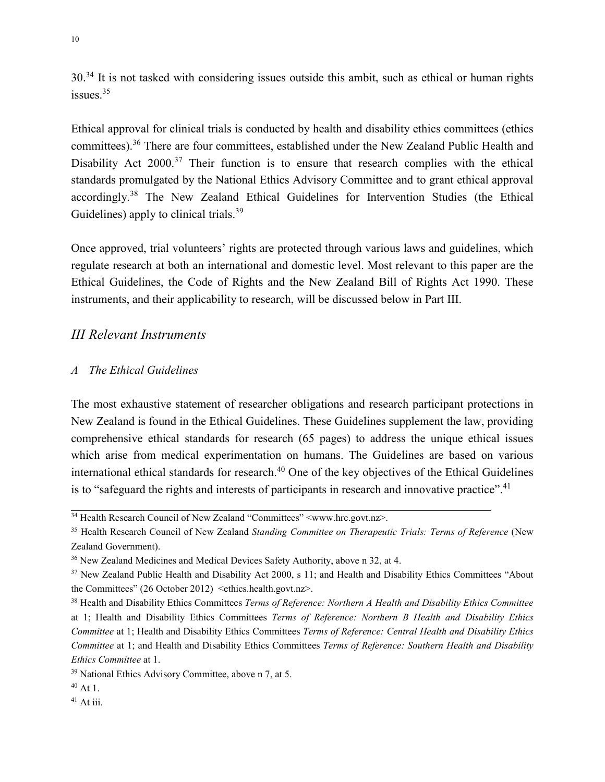30.<sup>34</sup> It is not tasked with considering issues outside this ambit, such as ethical or human rights issues $35$ 

Ethical approval for clinical trials is conducted by health and disability ethics committees (ethics committees).<sup>36</sup> There are four committees, established under the New Zealand Public Health and Disability Act  $2000$ .<sup>37</sup> Their function is to ensure that research complies with the ethical standards promulgated by the National Ethics Advisory Committee and to grant ethical approval accordingly.<sup>38</sup> The New Zealand Ethical Guidelines for Intervention Studies (the Ethical Guidelines) apply to clinical trials.<sup>39</sup>

Once approved, trial volunteers' rights are protected through various laws and guidelines, which regulate research at both an international and domestic level. Most relevant to this paper are the Ethical Guidelines, the Code of Rights and the New Zealand Bill of Rights Act 1990. These instruments, and their applicability to research, will be discussed below in Part III.

## *III Relevant Instruments*

#### *A The Ethical Guidelines*

The most exhaustive statement of researcher obligations and research participant protections in New Zealand is found in the Ethical Guidelines. These Guidelines supplement the law, providing comprehensive ethical standards for research (65 pages) to address the unique ethical issues which arise from medical experimentation on humans. The Guidelines are based on various international ethical standards for research.<sup>40</sup> One of the key objectives of the Ethical Guidelines is to "safeguard the rights and interests of participants in research and innovative practice".<sup>41</sup>

<sup>&</sup>lt;sup>34</sup> Health Research Council of New Zealand "Committees" <www.hrc.govt.nz>.

<sup>35</sup> Health Research Council of New Zealand *Standing Committee on Therapeutic Trials: Terms of Reference* (New Zealand Government).

<sup>36</sup> New Zealand Medicines and Medical Devices Safety Authority, above n 32, at 4.

<sup>&</sup>lt;sup>37</sup> New Zealand Public Health and Disability Act 2000, s 11; and Health and Disability Ethics Committees "About the Committees" (26 October 2012) <ethics.health.govt.nz>.

<sup>38</sup> Health and Disability Ethics Committees *Terms of Reference: Northern A Health and Disability Ethics Committee* at 1; Health and Disability Ethics Committees *Terms of Reference: Northern B Health and Disability Ethics Committee* at 1; Health and Disability Ethics Committees *Terms of Reference: Central Health and Disability Ethics Committee* at 1; and Health and Disability Ethics Committees *Terms of Reference: Southern Health and Disability Ethics Committee* at 1.

<sup>39</sup> National Ethics Advisory Committee, above n 7, at 5.

 $40$  At 1.

 $41$  At iii.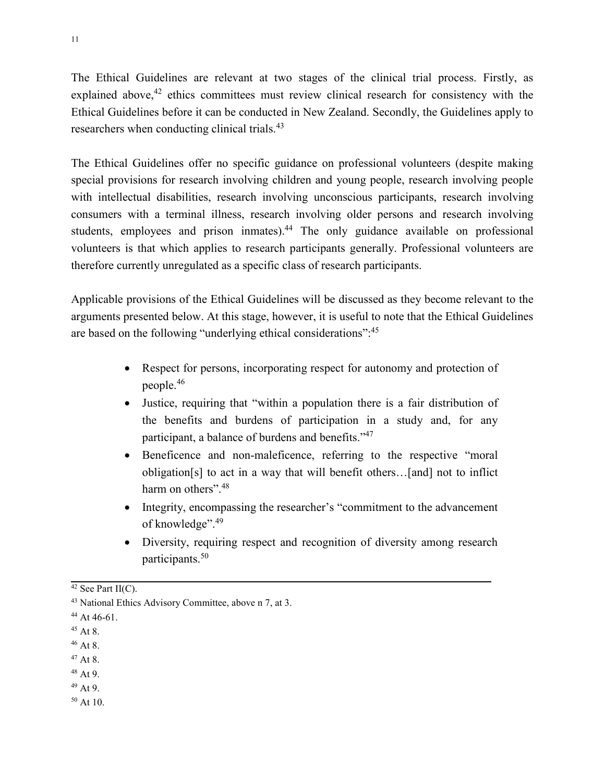The Ethical Guidelines are relevant at two stages of the clinical trial process. Firstly, as explained above,<sup>42</sup> ethics committees must review clinical research for consistency with the Ethical Guidelines before it can be conducted in New Zealand. Secondly, the Guidelines apply to researchers when conducting clinical trials.<sup>43</sup>

The Ethical Guidelines offer no specific guidance on professional volunteers (despite making special provisions for research involving children and young people, research involving people with intellectual disabilities, research involving unconscious participants, research involving consumers with a terminal illness, research involving older persons and research involving students, employees and prison inmates).<sup>44</sup> The only guidance available on professional volunteers is that which applies to research participants generally. Professional volunteers are therefore currently unregulated as a specific class of research participants.

Applicable provisions of the Ethical Guidelines will be discussed as they become relevant to the arguments presented below. At this stage, however, it is useful to note that the Ethical Guidelines are based on the following "underlying ethical considerations".<sup>45</sup>

- Respect for persons, incorporating respect for autonomy and protection of people.<sup>46</sup>
- Justice, requiring that "within a population there is a fair distribution of the benefits and burdens of participation in a study and, for any participant, a balance of burdens and benefits."<sup>47</sup>
- Beneficence and non-maleficence, referring to the respective "moral obligation[s] to act in a way that will benefit others…[and] not to inflict harm on others".<sup>48</sup>
- Integrity, encompassing the researcher's "commitment to the advancement" of knowledge".<sup>49</sup>
- Diversity, requiring respect and recognition of diversity among research participants.<sup>50</sup>

 $47$  At 8.

50 At 10.

 $42$  See Part II(C).

<sup>43</sup> National Ethics Advisory Committee, above n 7, at 3.

 $44$  At 46-61.

<sup>45</sup> At 8.

<sup>46</sup> At 8.

<sup>48</sup> At 9.

<sup>49</sup> At 9.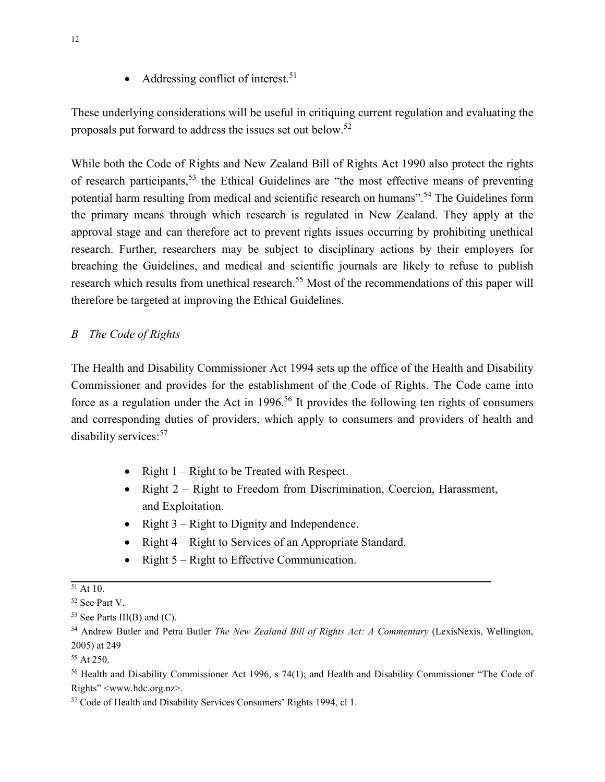• Addressing conflict of interest.<sup>51</sup>

These underlying considerations will be useful in critiquing current regulation and evaluating the proposals put forward to address the issues set out below.<sup>52</sup>

While both the Code of Rights and New Zealand Bill of Rights Act 1990 also protect the rights of research participants,<sup>53</sup> the Ethical Guidelines are "the most effective means of preventing potential harm resulting from medical and scientific research on humans".<sup>54</sup> The Guidelines form the primary means through which research is regulated in New Zealand. They apply at the approval stage and can therefore act to prevent rights issues occurring by prohibiting unethical research. Further, researchers may be subject to disciplinary actions by their employers for breaching the Guidelines, and medical and scientific journals are likely to refuse to publish research which results from unethical research.<sup>55</sup> Most of the recommendations of this paper will therefore be targeted at improving the Ethical Guidelines.

#### *B The Code of Rights*

The Health and Disability Commissioner Act 1994 sets up the office of the Health and Disability Commissioner and provides for the establishment of the Code of Rights. The Code came into force as a regulation under the Act in 1996.<sup>56</sup> It provides the following ten rights of consumers and corresponding duties of providers, which apply to consumers and providers of health and disability services:<sup>57</sup>

- Right 1 Right to be Treated with Respect.
- Right 2 Right to Freedom from Discrimination, Coercion, Harassment, and Exploitation.
- Right 3 Right to Dignity and Independence.
- Right 4 Right to Services of an Appropriate Standard.
- Right 5 Right to Effective Communication.

 $51$  At 10.

<sup>52</sup> See Part V.

 $53$  See Parts III(B) and (C).

<sup>54</sup> Andrew Butler and Petra Butler *The New Zealand Bill of Rights Act: A Commentary* (LexisNexis, Wellington, 2005) at 249

 $55$  At 250.

<sup>56</sup> Health and Disability Commissioner Act 1996, s 74(1); and Health and Disability Commissioner "The Code of Rights" <www.hdc.org.nz>.

<sup>57</sup> Code of Health and Disability Services Consumers' Rights 1994, cl 1.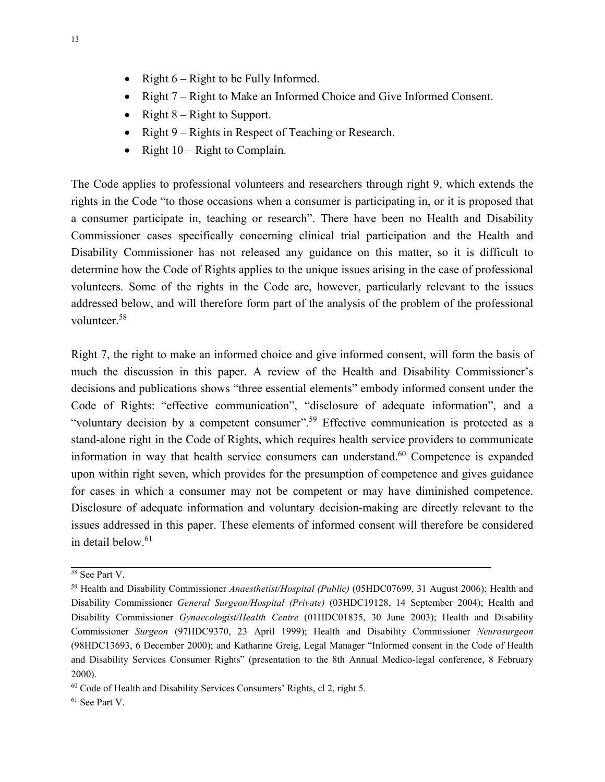- Right 6 Right to be Fully Informed.
- Right 7 Right to Make an Informed Choice and Give Informed Consent.
- Right  $8 -$  Right to Support.
- Right 9 Rights in Respect of Teaching or Research.
- Right 10 Right to Complain.

The Code applies to professional volunteers and researchers through right 9, which extends the rights in the Code "to those occasions when a consumer is participating in, or it is proposed that a consumer participate in, teaching or research". There have been no Health and Disability Commissioner cases specifically concerning clinical trial participation and the Health and Disability Commissioner has not released any guidance on this matter, so it is difficult to determine how the Code of Rights applies to the unique issues arising in the case of professional volunteers. Some of the rights in the Code are, however, particularly relevant to the issues addressed below, and will therefore form part of the analysis of the problem of the professional volunteer.<sup>58</sup>

Right 7, the right to make an informed choice and give informed consent, will form the basis of much the discussion in this paper. A review of the Health and Disability Commissioner's decisions and publications shows "three essential elements" embody informed consent under the Code of Rights: "effective communication", "disclosure of adequate information", and a "voluntary decision by a competent consumer".<sup>59</sup> Effective communication is protected as a stand-alone right in the Code of Rights, which requires health service providers to communicate information in way that health service consumers can understand.<sup>60</sup> Competence is expanded upon within right seven, which provides for the presumption of competence and gives guidance for cases in which a consumer may not be competent or may have diminished competence. Disclosure of adequate information and voluntary decision-making are directly relevant to the issues addressed in this paper. These elements of informed consent will therefore be considered in detail below.<sup>61</sup>

<sup>58</sup> See Part V.

<sup>59</sup> Health and Disability Commissioner *Anaesthetist/Hospital (Public)* (05HDC07699, 31 August 2006); Health and Disability Commissioner *General Surgeon/Hospital (Private)* (03HDC19128, 14 September 2004); Health and Disability Commissioner *Gynaecologist/Health Centre* (01HDC01835, 30 June 2003); Health and Disability Commissioner *Surgeon* (97HDC9370, 23 April 1999); Health and Disability Commissioner *Neurosurgeon*  (98HDC13693, 6 December 2000); and Katharine Greig, Legal Manager "Informed consent in the Code of Health and Disability Services Consumer Rights" (presentation to the 8th Annual Medico-legal conference, 8 February 2000).

<sup>60</sup> Code of Health and Disability Services Consumers' Rights, cl 2, right 5.

<sup>61</sup> See Part V.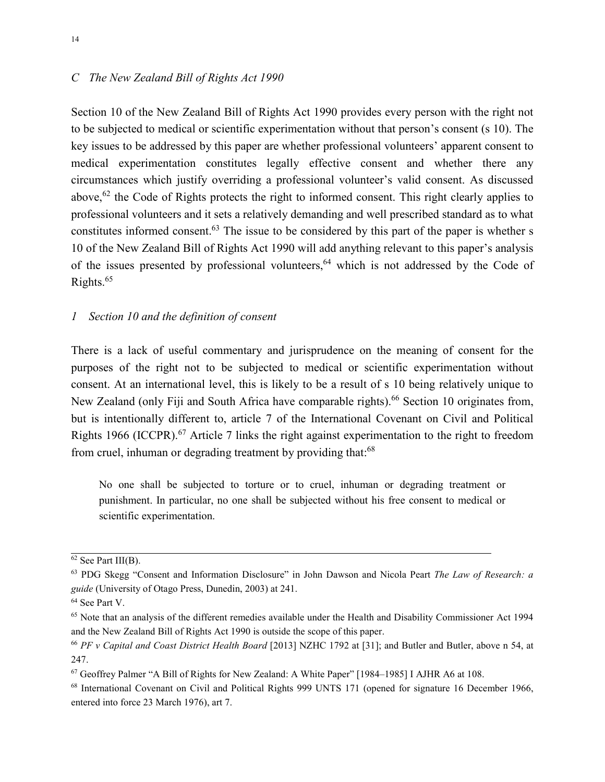#### *C The New Zealand Bill of Rights Act 1990*

Section 10 of the New Zealand Bill of Rights Act 1990 provides every person with the right not to be subjected to medical or scientific experimentation without that person's consent (s 10). The key issues to be addressed by this paper are whether professional volunteers' apparent consent to medical experimentation constitutes legally effective consent and whether there any circumstances which justify overriding a professional volunteer's valid consent. As discussed above,<sup>62</sup> the Code of Rights protects the right to informed consent. This right clearly applies to professional volunteers and it sets a relatively demanding and well prescribed standard as to what constitutes informed consent.<sup>63</sup> The issue to be considered by this part of the paper is whether s 10 of the New Zealand Bill of Rights Act 1990 will add anything relevant to this paper's analysis of the issues presented by professional volunteers,<sup>64</sup> which is not addressed by the Code of Rights. $65$ 

#### *1 Section 10 and the definition of consent*

There is a lack of useful commentary and jurisprudence on the meaning of consent for the purposes of the right not to be subjected to medical or scientific experimentation without consent. At an international level, this is likely to be a result of s 10 being relatively unique to New Zealand (only Fiji and South Africa have comparable rights).<sup>66</sup> Section 10 originates from, but is intentionally different to, article 7 of the International Covenant on Civil and Political Rights 1966 (ICCPR).<sup>67</sup> Article 7 links the right against experimentation to the right to freedom from cruel, inhuman or degrading treatment by providing that:<sup>68</sup>

No one shall be subjected to torture or to cruel, inhuman or degrading treatment or punishment. In particular, no one shall be subjected without his free consent to medical or scientific experimentation.

 $62$  See Part III(B).

<sup>63</sup> PDG Skegg "Consent and Information Disclosure" in John Dawson and Nicola Peart *The Law of Research: a guide* (University of Otago Press, Dunedin, 2003) at 241.

<sup>64</sup> See Part V.

<sup>&</sup>lt;sup>65</sup> Note that an analysis of the different remedies available under the Health and Disability Commissioner Act 1994 and the New Zealand Bill of Rights Act 1990 is outside the scope of this paper.

<sup>66</sup> *PF v Capital and Coast District Health Board* [2013] NZHC 1792 at [31]; and Butler and Butler, above n 54, at 247.

<sup>67</sup> Geoffrey Palmer "A Bill of Rights for New Zealand: A White Paper" [1984–1985] I AJHR A6 at 108.

<sup>68</sup> International Covenant on Civil and Political Rights 999 UNTS 171 (opened for signature 16 December 1966, entered into force 23 March 1976), art 7.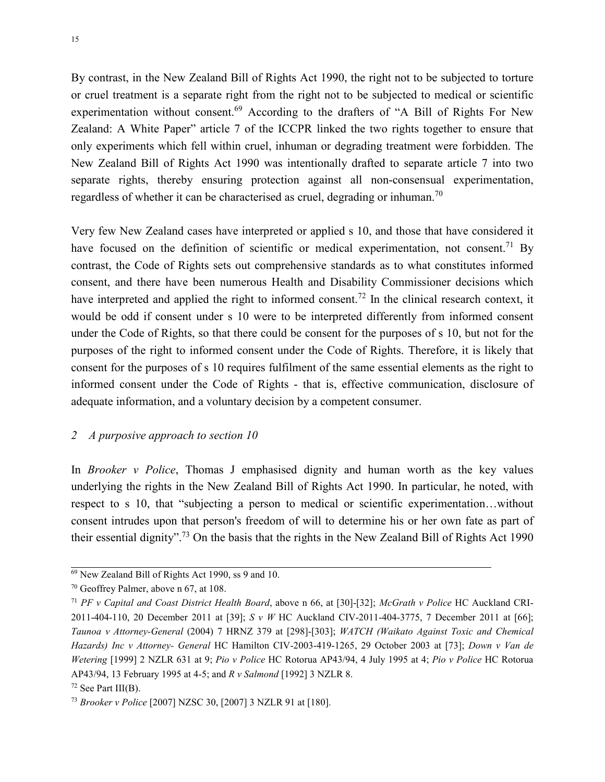By contrast, in the New Zealand Bill of Rights Act 1990, the right not to be subjected to torture or cruel treatment is a separate right from the right not to be subjected to medical or scientific experimentation without consent.<sup>69</sup> According to the drafters of "A Bill of Rights For New Zealand: A White Paper" article 7 of the ICCPR linked the two rights together to ensure that only experiments which fell within cruel, inhuman or degrading treatment were forbidden. The New Zealand Bill of Rights Act 1990 was intentionally drafted to separate article 7 into two separate rights, thereby ensuring protection against all non-consensual experimentation, regardless of whether it can be characterised as cruel, degrading or inhuman.<sup>70</sup>

Very few New Zealand cases have interpreted or applied s 10, and those that have considered it have focused on the definition of scientific or medical experimentation, not consent.<sup>71</sup> By contrast, the Code of Rights sets out comprehensive standards as to what constitutes informed consent, and there have been numerous Health and Disability Commissioner decisions which have interpreted and applied the right to informed consent.<sup>72</sup> In the clinical research context, it would be odd if consent under s 10 were to be interpreted differently from informed consent under the Code of Rights, so that there could be consent for the purposes of s 10, but not for the purposes of the right to informed consent under the Code of Rights. Therefore, it is likely that consent for the purposes of s 10 requires fulfilment of the same essential elements as the right to informed consent under the Code of Rights - that is, effective communication, disclosure of adequate information, and a voluntary decision by a competent consumer.

#### *2 A purposive approach to section 10*

In *Brooker v Police*, Thomas J emphasised dignity and human worth as the key values underlying the rights in the New Zealand Bill of Rights Act 1990. In particular, he noted, with respect to s 10, that "subjecting a person to medical or scientific experimentation…without consent intrudes upon that person's freedom of will to determine his or her own fate as part of their essential dignity".<sup>73</sup> On the basis that the rights in the New Zealand Bill of Rights Act 1990

<sup>69</sup> New Zealand Bill of Rights Act 1990, ss 9 and 10.

<sup>70</sup> Geoffrey Palmer, above n 67, at 108.

<sup>71</sup> *PF v Capital and Coast District Health Board*, above n 66, at [30]-[32]; *McGrath v Police* HC Auckland CRI-2011-404-110, 20 December 2011 at [39]; *S v W* HC Auckland CIV-2011-404-3775, 7 December 2011 at [66]; *Taunoa v Attorney-General* (2004) 7 HRNZ 379 at [298]-[303]; *WATCH (Waikato Against Toxic and Chemical Hazards) Inc v Attorney- General* HC Hamilton CIV-2003-419-1265, 29 October 2003 at [73]; *Down v Van de Wetering* [1999] 2 NZLR 631 at 9; *Pio v Police* HC Rotorua AP43/94, 4 July 1995 at 4; *Pio v Police* HC Rotorua AP43/94, 13 February 1995 at 4-5; and *R v Salmond* [1992] 3 NZLR 8.

 $72$  See Part III(B).

<sup>73</sup> *Brooker v Police* [2007] NZSC 30, [2007] 3 NZLR 91 at [180].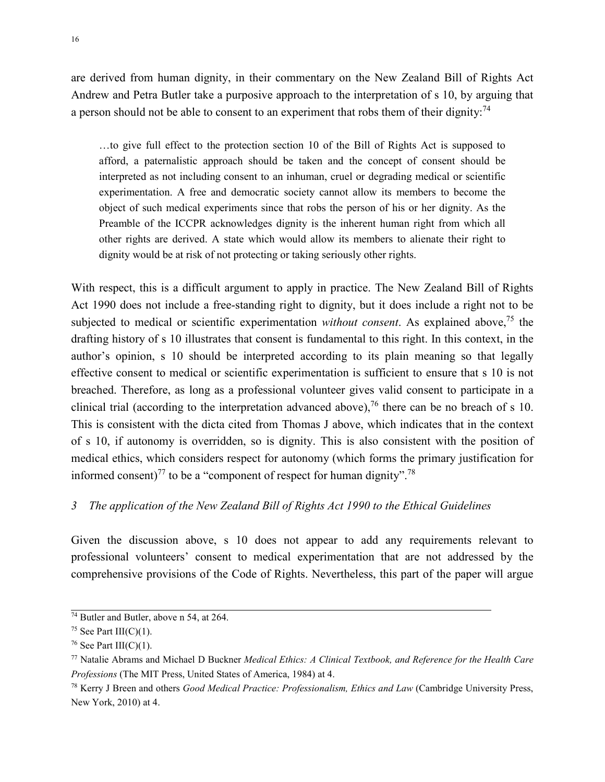are derived from human dignity, in their commentary on the New Zealand Bill of Rights Act Andrew and Petra Butler take a purposive approach to the interpretation of s 10, by arguing that a person should not be able to consent to an experiment that robs them of their dignity: $^{74}$ 

…to give full effect to the protection section 10 of the Bill of Rights Act is supposed to afford, a paternalistic approach should be taken and the concept of consent should be interpreted as not including consent to an inhuman, cruel or degrading medical or scientific experimentation. A free and democratic society cannot allow its members to become the object of such medical experiments since that robs the person of his or her dignity. As the Preamble of the ICCPR acknowledges dignity is the inherent human right from which all other rights are derived. A state which would allow its members to alienate their right to dignity would be at risk of not protecting or taking seriously other rights.

With respect, this is a difficult argument to apply in practice. The New Zealand Bill of Rights Act 1990 does not include a free-standing right to dignity, but it does include a right not to be subjected to medical or scientific experimentation *without consent*. As explained above,<sup>75</sup> the drafting history of s 10 illustrates that consent is fundamental to this right. In this context, in the author's opinion, s 10 should be interpreted according to its plain meaning so that legally effective consent to medical or scientific experimentation is sufficient to ensure that s 10 is not breached. Therefore, as long as a professional volunteer gives valid consent to participate in a clinical trial (according to the interpretation advanced above),<sup>76</sup> there can be no breach of s 10. This is consistent with the dicta cited from Thomas J above, which indicates that in the context of s 10, if autonomy is overridden, so is dignity. This is also consistent with the position of medical ethics, which considers respect for autonomy (which forms the primary justification for informed consent)<sup>77</sup> to be a "component of respect for human dignity".<sup>78</sup>

#### *3 The application of the New Zealand Bill of Rights Act 1990 to the Ethical Guidelines*

Given the discussion above, s 10 does not appear to add any requirements relevant to professional volunteers' consent to medical experimentation that are not addressed by the comprehensive provisions of the Code of Rights. Nevertheless, this part of the paper will argue

 $74$  Butler and Butler, above n 54, at 264.

<sup>&</sup>lt;sup>75</sup> See Part III(C)(1).

<sup>&</sup>lt;sup>76</sup> See Part III(C)(1).

<sup>77</sup> Natalie Abrams and Michael D Buckner *Medical Ethics: A Clinical Textbook, and Reference for the Health Care Professions* (The MIT Press, United States of America, 1984) at 4.

<sup>78</sup> Kerry J Breen and others *Good Medical Practice: Professionalism, Ethics and Law* (Cambridge University Press, New York, 2010) at 4.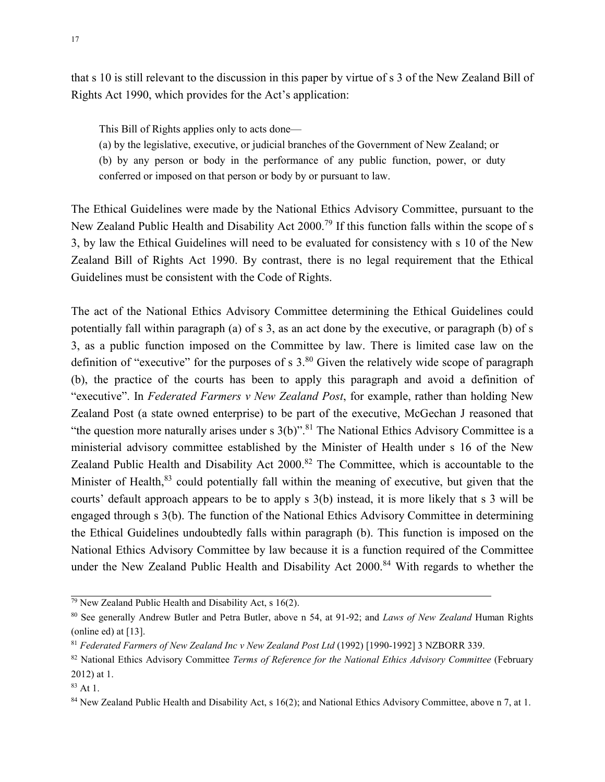that s 10 is still relevant to the discussion in this paper by virtue of s 3 of the New Zealand Bill of Rights Act 1990, which provides for the Act's application:

This Bill of Rights applies only to acts done—

(a) by the legislative, executive, or judicial branches of the Government of New Zealand; or

(b) by any person or body in the performance of any public function, power, or duty conferred or imposed on that person or body by or pursuant to law.

The Ethical Guidelines were made by the National Ethics Advisory Committee, pursuant to the New Zealand Public Health and Disability Act 2000.<sup>79</sup> If this function falls within the scope of s 3, by law the Ethical Guidelines will need to be evaluated for consistency with s 10 of the New Zealand Bill of Rights Act 1990. By contrast, there is no legal requirement that the Ethical Guidelines must be consistent with the Code of Rights.

The act of the National Ethics Advisory Committee determining the Ethical Guidelines could potentially fall within paragraph (a) of s 3, as an act done by the executive, or paragraph (b) of s 3, as a public function imposed on the Committee by law. There is limited case law on the definition of "executive" for the purposes of s  $3<sup>80</sup>$  Given the relatively wide scope of paragraph (b), the practice of the courts has been to apply this paragraph and avoid a definition of "executive". In *Federated Farmers v New Zealand Post*, for example, rather than holding New Zealand Post (a state owned enterprise) to be part of the executive, McGechan J reasoned that "the question more naturally arises under s  $3(b)$ ".<sup>81</sup> The National Ethics Advisory Committee is a ministerial advisory committee established by the Minister of Health under s 16 of the New Zealand Public Health and Disability Act 2000.<sup>82</sup> The Committee, which is accountable to the Minister of Health,<sup>83</sup> could potentially fall within the meaning of executive, but given that the courts' default approach appears to be to apply s 3(b) instead, it is more likely that s 3 will be engaged through s 3(b). The function of the National Ethics Advisory Committee in determining the Ethical Guidelines undoubtedly falls within paragraph (b). This function is imposed on the National Ethics Advisory Committee by law because it is a function required of the Committee under the New Zealand Public Health and Disability Act 2000.<sup>84</sup> With regards to whether the

 $\frac{79}{79}$  New Zealand Public Health and Disability Act, s 16(2).

<sup>80</sup> See generally Andrew Butler and Petra Butler, above n 54, at 91-92; and *Laws of New Zealand* Human Rights (online ed) at [13].

<sup>81</sup> *Federated Farmers of New Zealand Inc v New Zealand Post Ltd* (1992) [1990-1992] 3 NZBORR 339.

<sup>82</sup> National Ethics Advisory Committee *Terms of Reference for the National Ethics Advisory Committee* (February 2012) at 1.

<sup>83</sup> At 1.

<sup>&</sup>lt;sup>84</sup> New Zealand Public Health and Disability Act, s 16(2); and National Ethics Advisory Committee, above n 7, at 1.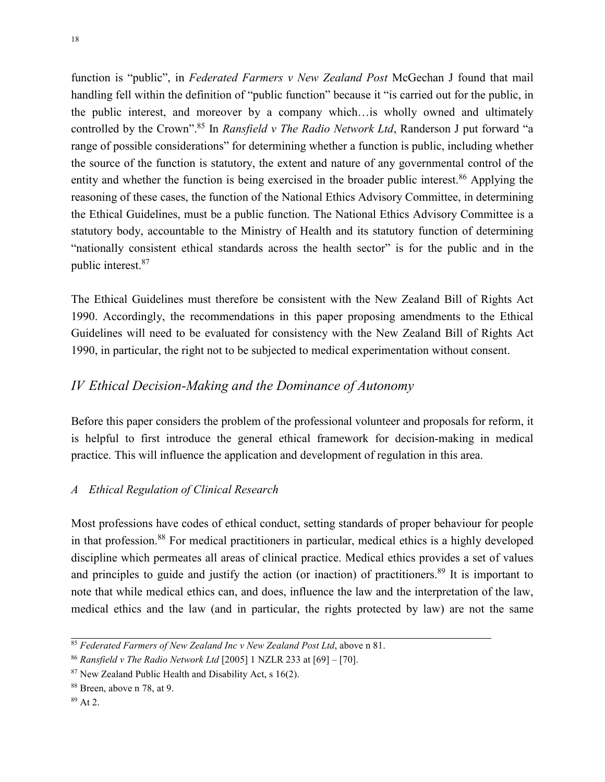function is "public", in *Federated Farmers v New Zealand Post* McGechan J found that mail handling fell within the definition of "public function" because it "is carried out for the public, in the public interest, and moreover by a company which…is wholly owned and ultimately controlled by the Crown".<sup>85</sup> In *Ransfield v The Radio Network Ltd*, Randerson J put forward "a range of possible considerations" for determining whether a function is public, including whether the source of the function is statutory, the extent and nature of any governmental control of the entity and whether the function is being exercised in the broader public interest.<sup>86</sup> Applying the reasoning of these cases, the function of the National Ethics Advisory Committee, in determining the Ethical Guidelines, must be a public function. The National Ethics Advisory Committee is a statutory body, accountable to the Ministry of Health and its statutory function of determining "nationally consistent ethical standards across the health sector" is for the public and in the public interest.<sup>87</sup>

The Ethical Guidelines must therefore be consistent with the New Zealand Bill of Rights Act 1990. Accordingly, the recommendations in this paper proposing amendments to the Ethical Guidelines will need to be evaluated for consistency with the New Zealand Bill of Rights Act 1990, in particular, the right not to be subjected to medical experimentation without consent.

## *IV Ethical Decision-Making and the Dominance of Autonomy*

Before this paper considers the problem of the professional volunteer and proposals for reform, it is helpful to first introduce the general ethical framework for decision-making in medical practice. This will influence the application and development of regulation in this area.

## *A Ethical Regulation of Clinical Research*

Most professions have codes of ethical conduct, setting standards of proper behaviour for people in that profession.<sup>88</sup> For medical practitioners in particular, medical ethics is a highly developed discipline which permeates all areas of clinical practice. Medical ethics provides a set of values and principles to guide and justify the action (or inaction) of practitioners.<sup>89</sup> It is important to note that while medical ethics can, and does, influence the law and the interpretation of the law, medical ethics and the law (and in particular, the rights protected by law) are not the same

<sup>85</sup> *Federated Farmers of New Zealand Inc v New Zealand Post Ltd*, above n 81.

<sup>86</sup> *Ransfield v The Radio Network Ltd* [2005] 1 NZLR 233 at [69] – [70].

<sup>87</sup> New Zealand Public Health and Disability Act, s 16(2).

<sup>88</sup> Breen, above n 78, at 9.

 $89$  At 2.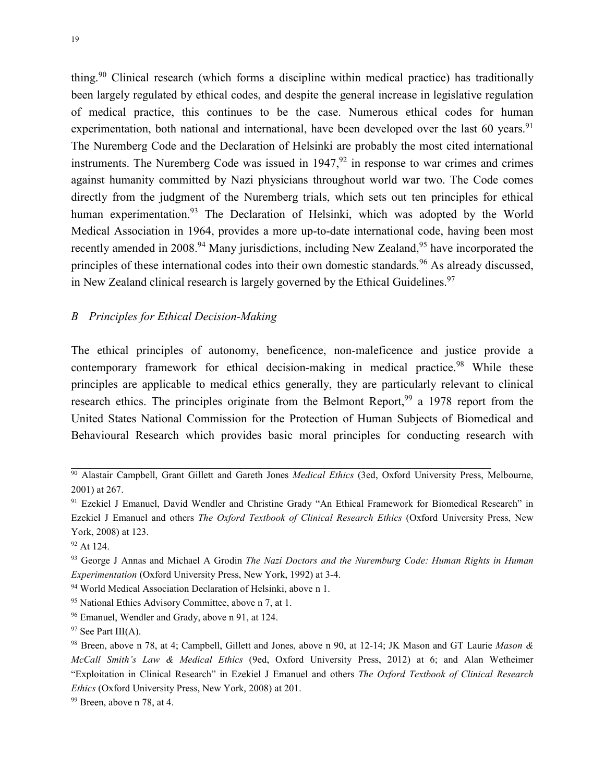thing.<sup>90</sup> Clinical research (which forms a discipline within medical practice) has traditionally been largely regulated by ethical codes, and despite the general increase in legislative regulation of medical practice, this continues to be the case. Numerous ethical codes for human experimentation, both national and international, have been developed over the last 60 years.<sup>91</sup> The Nuremberg Code and the Declaration of Helsinki are probably the most cited international instruments. The Nuremberg Code was issued in  $1947<sup>92</sup>$  in response to war crimes and crimes against humanity committed by Nazi physicians throughout world war two. The Code comes directly from the judgment of the Nuremberg trials, which sets out ten principles for ethical human experimentation.<sup>93</sup> The Declaration of Helsinki, which was adopted by the World Medical Association in 1964, provides a more up-to-date international code, having been most recently amended in 2008.<sup>94</sup> Many jurisdictions, including New Zealand,<sup>95</sup> have incorporated the principles of these international codes into their own domestic standards.<sup>96</sup> As already discussed, in New Zealand clinical research is largely governed by the Ethical Guidelines.<sup>97</sup>

#### *B Principles for Ethical Decision-Making*

The ethical principles of autonomy, beneficence, non-maleficence and justice provide a contemporary framework for ethical decision-making in medical practice.<sup>98</sup> While these principles are applicable to medical ethics generally, they are particularly relevant to clinical research ethics. The principles originate from the Belmont Report,<sup>99</sup> a 1978 report from the United States National Commission for the Protection of Human Subjects of Biomedical and Behavioural Research which provides basic moral principles for conducting research with

<sup>90</sup> Alastair Campbell, Grant Gillett and Gareth Jones *Medical Ethics* (3ed, Oxford University Press, Melbourne, 2001) at 267.

<sup>91</sup> Ezekiel J Emanuel, David Wendler and Christine Grady "An Ethical Framework for Biomedical Research" in Ezekiel J Emanuel and others *The Oxford Textbook of Clinical Research Ethics* (Oxford University Press, New York, 2008) at 123.

<sup>92</sup> At 124.

<sup>93</sup> George J Annas and Michael A Grodin *The Nazi Doctors and the Nuremburg Code: Human Rights in Human Experimentation* (Oxford University Press, New York, 1992) at 3-4.

<sup>94</sup> World Medical Association Declaration of Helsinki, above n 1.

<sup>95</sup> National Ethics Advisory Committee, above n 7, at 1.

<sup>96</sup> Emanuel, Wendler and Grady, above n 91, at 124.

 $97$  See Part III(A).

<sup>98</sup> Breen, above n 78, at 4; Campbell, Gillett and Jones, above n 90, at 12-14; JK Mason and GT Laurie *Mason & McCall Smith's Law & Medical Ethics* (9ed, Oxford University Press, 2012) at 6; and Alan Wetheimer "Exploitation in Clinical Research" in Ezekiel J Emanuel and others *The Oxford Textbook of Clinical Research Ethics* (Oxford University Press, New York, 2008) at 201.

<sup>99</sup> Breen, above n 78, at 4.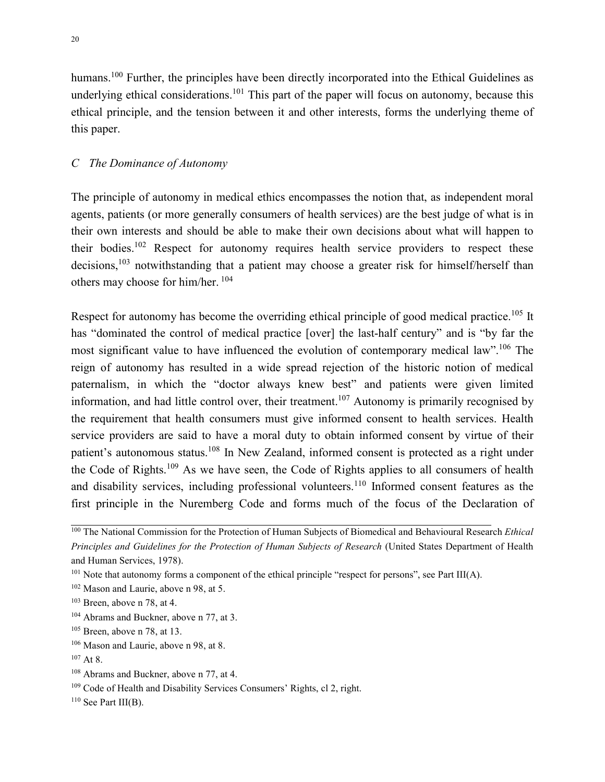humans.<sup>100</sup> Further, the principles have been directly incorporated into the Ethical Guidelines as underlying ethical considerations.<sup>101</sup> This part of the paper will focus on autonomy, because this ethical principle, and the tension between it and other interests, forms the underlying theme of this paper.

#### *C The Dominance of Autonomy*

The principle of autonomy in medical ethics encompasses the notion that, as independent moral agents, patients (or more generally consumers of health services) are the best judge of what is in their own interests and should be able to make their own decisions about what will happen to their bodies.<sup>102</sup> Respect for autonomy requires health service providers to respect these decisions,<sup>103</sup> notwithstanding that a patient may choose a greater risk for himself/herself than others may choose for him/her.<sup>104</sup>

Respect for autonomy has become the overriding ethical principle of good medical practice.<sup>105</sup> It has "dominated the control of medical practice [over] the last-half century" and is "by far the most significant value to have influenced the evolution of contemporary medical law".<sup>106</sup> The reign of autonomy has resulted in a wide spread rejection of the historic notion of medical paternalism, in which the "doctor always knew best" and patients were given limited information, and had little control over, their treatment.<sup>107</sup> Autonomy is primarily recognised by the requirement that health consumers must give informed consent to health services. Health service providers are said to have a moral duty to obtain informed consent by virtue of their patient's autonomous status.<sup>108</sup> In New Zealand, informed consent is protected as a right under the Code of Rights.<sup>109</sup> As we have seen, the Code of Rights applies to all consumers of health and disability services, including professional volunteers.<sup>110</sup> Informed consent features as the first principle in the Nuremberg Code and forms much of the focus of the Declaration of

<sup>100</sup> The National Commission for the Protection of Human Subjects of Biomedical and Behavioural Research *Ethical Principles and Guidelines for the Protection of Human Subjects of Research* (United States Department of Health and Human Services, 1978).

 $101$  Note that autonomy forms a component of the ethical principle "respect for persons", see Part III(A).

<sup>102</sup> Mason and Laurie, above n 98, at 5.

<sup>103</sup> Breen, above n 78, at 4.

<sup>104</sup> Abrams and Buckner, above n 77, at 3.

<sup>105</sup> Breen, above n 78, at 13.

<sup>106</sup> Mason and Laurie, above n 98, at 8.

 $107$  At 8.

<sup>108</sup> Abrams and Buckner, above n 77, at 4.

<sup>&</sup>lt;sup>109</sup> Code of Health and Disability Services Consumers' Rights, cl 2, right.

 $110$  See Part III(B).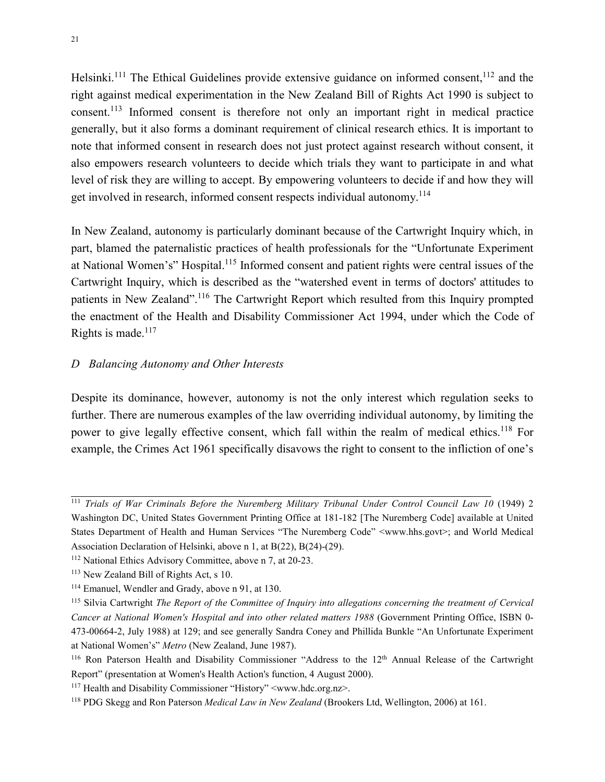Helsinki.<sup>111</sup> The Ethical Guidelines provide extensive guidance on informed consent,<sup>112</sup> and the right against medical experimentation in the New Zealand Bill of Rights Act 1990 is subject to consent.<sup>113</sup> Informed consent is therefore not only an important right in medical practice generally, but it also forms a dominant requirement of clinical research ethics. It is important to note that informed consent in research does not just protect against research without consent, it also empowers research volunteers to decide which trials they want to participate in and what level of risk they are willing to accept. By empowering volunteers to decide if and how they will get involved in research, informed consent respects individual autonomy.<sup>114</sup>

In New Zealand, autonomy is particularly dominant because of the Cartwright Inquiry which, in part, blamed the paternalistic practices of health professionals for the "Unfortunate Experiment at National Women's" Hospital.<sup>115</sup> Informed consent and patient rights were central issues of the Cartwright Inquiry, which is described as the "watershed event in terms of doctors' attitudes to patients in New Zealand".<sup>116</sup> The Cartwright Report which resulted from this Inquiry prompted the enactment of the Health and Disability Commissioner Act 1994, under which the Code of Rights is made.<sup>117</sup>

#### *D Balancing Autonomy and Other Interests*

Despite its dominance, however, autonomy is not the only interest which regulation seeks to further. There are numerous examples of the law overriding individual autonomy, by limiting the power to give legally effective consent, which fall within the realm of medical ethics.<sup>118</sup> For example, the Crimes Act 1961 specifically disavows the right to consent to the infliction of one's

<sup>&</sup>lt;sup>111</sup> *Trials of War Criminals Before the Nuremberg Military Tribunal Under Control Council Law 10* (1949) 2 Washington DC, United States Government Printing Office at 181-182 [The Nuremberg Code] available at United States Department of Health and Human Services "The Nuremberg Code" <www.hhs.govt>; and World Medical Association Declaration of Helsinki, above n 1, at B(22), B(24)-(29).

<sup>112</sup> National Ethics Advisory Committee, above n 7, at 20-23.

<sup>113</sup> New Zealand Bill of Rights Act, s 10.

<sup>114</sup> Emanuel, Wendler and Grady, above n 91, at 130.

<sup>115</sup> Silvia Cartwright *The Report of the Committee of Inquiry into allegations concerning the treatment of Cervical Cancer at National Women's Hospital and into other related matters 1988* (Government Printing Office, ISBN 0- 473-00664-2, July 1988) at 129; and see generally Sandra Coney and Phillida Bunkle "An Unfortunate Experiment at National Women's" *Metro* (New Zealand, June 1987).

<sup>&</sup>lt;sup>116</sup> Ron Paterson Health and Disability Commissioner "Address to the 12<sup>th</sup> Annual Release of the Cartwright Report" (presentation at Women's Health Action's function, 4 August 2000).

<sup>117</sup> Health and Disability Commissioner "History" <www.hdc.org.nz>.

<sup>118</sup> PDG Skegg and Ron Paterson *Medical Law in New Zealand* (Brookers Ltd, Wellington, 2006) at 161.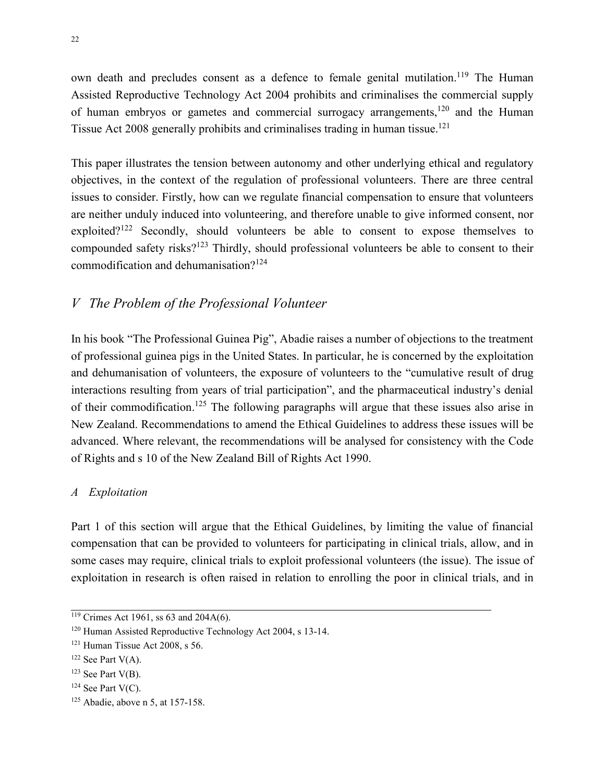own death and precludes consent as a defence to female genital mutilation.<sup>119</sup> The Human Assisted Reproductive Technology Act 2004 prohibits and criminalises the commercial supply of human embryos or gametes and commercial surrogacy arrangements,<sup>120</sup> and the Human Tissue Act 2008 generally prohibits and criminalises trading in human tissue.<sup>121</sup>

This paper illustrates the tension between autonomy and other underlying ethical and regulatory objectives, in the context of the regulation of professional volunteers. There are three central issues to consider. Firstly, how can we regulate financial compensation to ensure that volunteers are neither unduly induced into volunteering, and therefore unable to give informed consent, nor exploited?<sup>122</sup> Secondly, should volunteers be able to consent to expose themselves to compounded safety risks?<sup>123</sup> Thirdly, should professional volunteers be able to consent to their commodification and dehumanisation?<sup>124</sup>

## *V The Problem of the Professional Volunteer*

In his book "The Professional Guinea Pig", Abadie raises a number of objections to the treatment of professional guinea pigs in the United States. In particular, he is concerned by the exploitation and dehumanisation of volunteers, the exposure of volunteers to the "cumulative result of drug interactions resulting from years of trial participation", and the pharmaceutical industry's denial of their commodification.<sup>125</sup> The following paragraphs will argue that these issues also arise in New Zealand. Recommendations to amend the Ethical Guidelines to address these issues will be advanced. Where relevant, the recommendations will be analysed for consistency with the Code of Rights and s 10 of the New Zealand Bill of Rights Act 1990.

#### *A Exploitation*

Part 1 of this section will argue that the Ethical Guidelines, by limiting the value of financial compensation that can be provided to volunteers for participating in clinical trials, allow, and in some cases may require, clinical trials to exploit professional volunteers (the issue). The issue of exploitation in research is often raised in relation to enrolling the poor in clinical trials, and in

<sup>&</sup>lt;sup>119</sup> Crimes Act 1961, ss 63 and 204A(6).

<sup>120</sup> Human Assisted Reproductive Technology Act 2004, s 13-14.

<sup>121</sup> Human Tissue Act 2008, s 56.

 $122$  See Part V(A).

 $123$  See Part V(B).

 $124$  See Part V(C).

<sup>125</sup> Abadie, above n 5, at 157-158.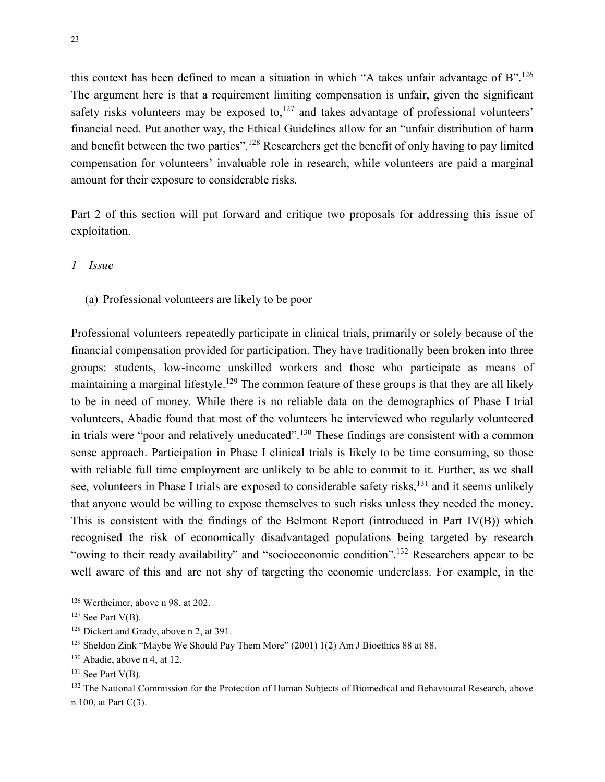this context has been defined to mean a situation in which "A takes unfair advantage of B".<sup>126</sup> The argument here is that a requirement limiting compensation is unfair, given the significant safety risks volunteers may be exposed to,  $127$  and takes advantage of professional volunteers' financial need. Put another way, the Ethical Guidelines allow for an "unfair distribution of harm and benefit between the two parties".<sup>128</sup> Researchers get the benefit of only having to pay limited compensation for volunteers' invaluable role in research, while volunteers are paid a marginal amount for their exposure to considerable risks.

Part 2 of this section will put forward and critique two proposals for addressing this issue of exploitation.

*1 Issue* 

(a) Professional volunteers are likely to be poor

Professional volunteers repeatedly participate in clinical trials, primarily or solely because of the financial compensation provided for participation. They have traditionally been broken into three groups: students, low-income unskilled workers and those who participate as means of maintaining a marginal lifestyle.<sup>129</sup> The common feature of these groups is that they are all likely to be in need of money. While there is no reliable data on the demographics of Phase I trial volunteers, Abadie found that most of the volunteers he interviewed who regularly volunteered in trials were "poor and relatively uneducated".<sup>130</sup> These findings are consistent with a common sense approach. Participation in Phase I clinical trials is likely to be time consuming, so those with reliable full time employment are unlikely to be able to commit to it. Further, as we shall see, volunteers in Phase I trials are exposed to considerable safety risks,<sup>131</sup> and it seems unlikely that anyone would be willing to expose themselves to such risks unless they needed the money. This is consistent with the findings of the Belmont Report (introduced in Part IV(B)) which recognised the risk of economically disadvantaged populations being targeted by research "owing to their ready availability" and "socioeconomic condition".<sup>132</sup> Researchers appear to be well aware of this and are not shy of targeting the economic underclass. For example, in the

<sup>&</sup>lt;sup>126</sup> Wertheimer, above n 98, at 202.

 $127$  See Part V(B).

<sup>128</sup> Dickert and Grady, above n 2, at 391.

<sup>129</sup> Sheldon Zink "Maybe We Should Pay Them More" (2001) 1(2) Am J Bioethics 88 at 88.

<sup>130</sup> Abadie, above n 4, at 12.

 $131$  See Part V(B).

<sup>&</sup>lt;sup>132</sup> The National Commission for the Protection of Human Subjects of Biomedical and Behavioural Research, above n 100, at Part C(3).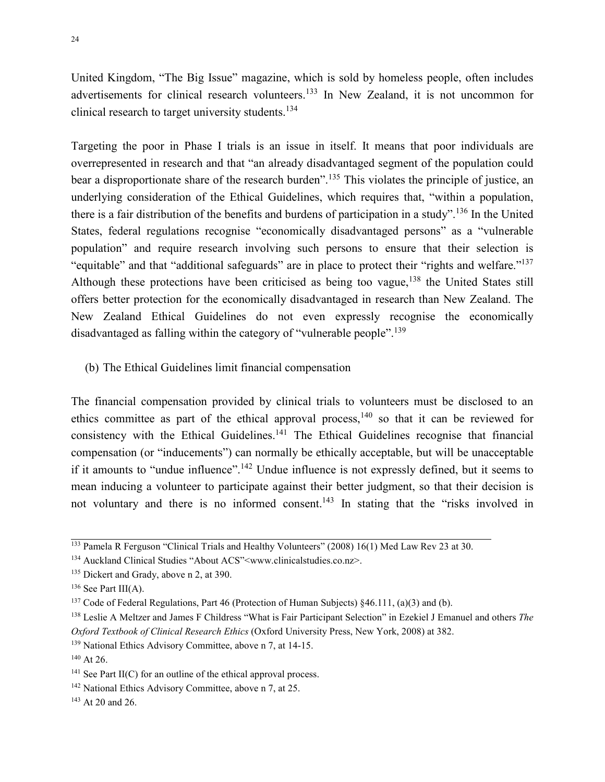United Kingdom, "The Big Issue" magazine, which is sold by homeless people, often includes advertisements for clinical research volunteers.<sup>133</sup> In New Zealand, it is not uncommon for clinical research to target university students.<sup>134</sup>

Targeting the poor in Phase I trials is an issue in itself. It means that poor individuals are overrepresented in research and that "an already disadvantaged segment of the population could bear a disproportionate share of the research burden".<sup>135</sup> This violates the principle of justice, an underlying consideration of the Ethical Guidelines, which requires that, "within a population, there is a fair distribution of the benefits and burdens of participation in a study".<sup>136</sup> In the United States, federal regulations recognise "economically disadvantaged persons" as a "vulnerable population" and require research involving such persons to ensure that their selection is "equitable" and that "additional safeguards" are in place to protect their "rights and welfare."<sup>137</sup> Although these protections have been criticised as being too vague,<sup>138</sup> the United States still offers better protection for the economically disadvantaged in research than New Zealand. The New Zealand Ethical Guidelines do not even expressly recognise the economically disadvantaged as falling within the category of "vulnerable people".<sup>139</sup>

(b) The Ethical Guidelines limit financial compensation

The financial compensation provided by clinical trials to volunteers must be disclosed to an ethics committee as part of the ethical approval process, $140$  so that it can be reviewed for consistency with the Ethical Guidelines.<sup>141</sup> The Ethical Guidelines recognise that financial compensation (or "inducements") can normally be ethically acceptable, but will be unacceptable if it amounts to "undue influence".<sup>142</sup> Undue influence is not expressly defined, but it seems to mean inducing a volunteer to participate against their better judgment, so that their decision is not voluntary and there is no informed consent.<sup>143</sup> In stating that the "risks involved in

<sup>&</sup>lt;sup>133</sup> Pamela R Ferguson "Clinical Trials and Healthy Volunteers" (2008) 16(1) Med Law Rev 23 at 30.

<sup>&</sup>lt;sup>134</sup> Auckland Clinical Studies "About ACS" <www.clinicalstudies.co.nz>.

<sup>&</sup>lt;sup>135</sup> Dickert and Grady, above n 2, at 390.

 $136$  See Part III(A).

<sup>137</sup> Code of Federal Regulations, Part 46 (Protection of Human Subjects) §46.111, (a)(3) and (b).

<sup>138</sup> Leslie A Meltzer and James F Childress "What is Fair Participant Selection" in Ezekiel J Emanuel and others *The Oxford Textbook of Clinical Research Ethics* (Oxford University Press, New York, 2008) at 382.

<sup>139</sup> National Ethics Advisory Committee, above n 7, at 14-15.

 $140$  At 26.

 $141$  See Part II(C) for an outline of the ethical approval process.

<sup>142</sup> National Ethics Advisory Committee, above n 7, at 25.

<sup>&</sup>lt;sup>143</sup> At 20 and 26.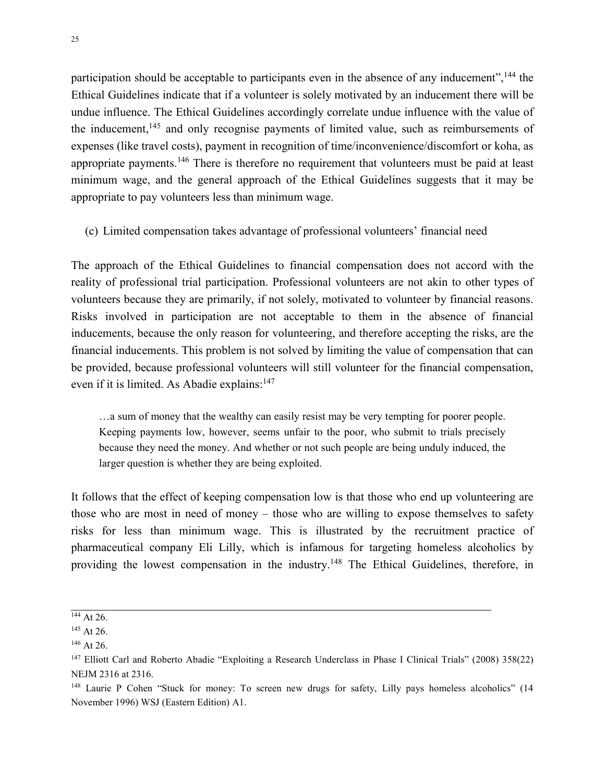participation should be acceptable to participants even in the absence of any inducement", <sup>144</sup> the Ethical Guidelines indicate that if a volunteer is solely motivated by an inducement there will be undue influence. The Ethical Guidelines accordingly correlate undue influence with the value of the inducement,<sup>145</sup> and only recognise payments of limited value, such as reimbursements of expenses (like travel costs), payment in recognition of time/inconvenience/discomfort or koha, as appropriate payments.<sup>146</sup> There is therefore no requirement that volunteers must be paid at least minimum wage, and the general approach of the Ethical Guidelines suggests that it may be appropriate to pay volunteers less than minimum wage.

(c) Limited compensation takes advantage of professional volunteers' financial need

The approach of the Ethical Guidelines to financial compensation does not accord with the reality of professional trial participation. Professional volunteers are not akin to other types of volunteers because they are primarily, if not solely, motivated to volunteer by financial reasons. Risks involved in participation are not acceptable to them in the absence of financial inducements, because the only reason for volunteering, and therefore accepting the risks, are the financial inducements. This problem is not solved by limiting the value of compensation that can be provided, because professional volunteers will still volunteer for the financial compensation, even if it is limited. As Abadie explains:<sup>147</sup>

…a sum of money that the wealthy can easily resist may be very tempting for poorer people. Keeping payments low, however, seems unfair to the poor, who submit to trials precisely because they need the money. And whether or not such people are being unduly induced, the larger question is whether they are being exploited.

It follows that the effect of keeping compensation low is that those who end up volunteering are those who are most in need of money – those who are willing to expose themselves to safety risks for less than minimum wage. This is illustrated by the recruitment practice of pharmaceutical company Eli Lilly, which is infamous for targeting homeless alcoholics by providing the lowest compensation in the industry.<sup>148</sup> The Ethical Guidelines, therefore, in

 $144$  At 26.

<sup>&</sup>lt;sup>145</sup> At 26.

<sup>146</sup> At 26.

<sup>147</sup> Elliott Carl and Roberto Abadie "Exploiting a Research Underclass in Phase I Clinical Trials" (2008) 358(22) NEJM 2316 at 2316.

<sup>&</sup>lt;sup>148</sup> Laurie P Cohen "Stuck for money: To screen new drugs for safety, Lilly pays homeless alcoholics" (14 November 1996) WSJ (Eastern Edition) A1.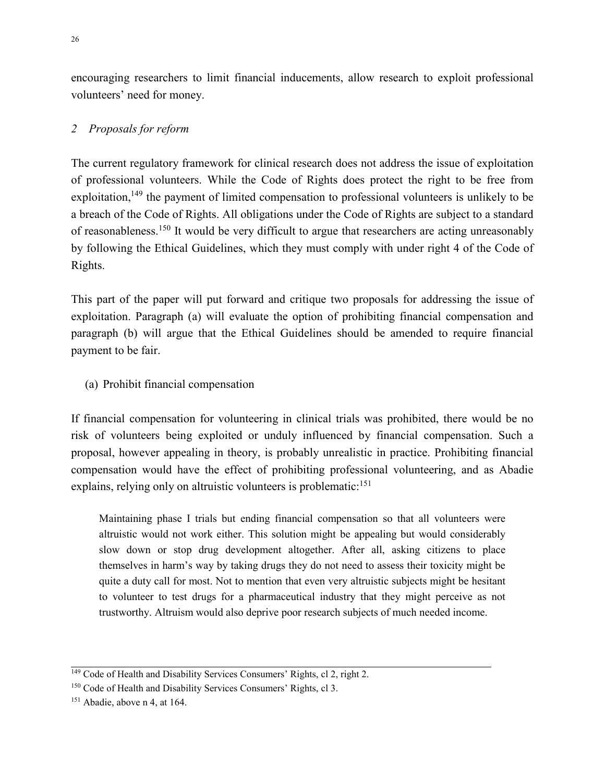encouraging researchers to limit financial inducements, allow research to exploit professional volunteers' need for money.

## *2 Proposals for reform*

The current regulatory framework for clinical research does not address the issue of exploitation of professional volunteers. While the Code of Rights does protect the right to be free from exploitation,  $149$  the payment of limited compensation to professional volunteers is unlikely to be a breach of the Code of Rights. All obligations under the Code of Rights are subject to a standard of reasonableness.<sup>150</sup> It would be very difficult to argue that researchers are acting unreasonably by following the Ethical Guidelines, which they must comply with under right 4 of the Code of Rights.

This part of the paper will put forward and critique two proposals for addressing the issue of exploitation. Paragraph (a) will evaluate the option of prohibiting financial compensation and paragraph (b) will argue that the Ethical Guidelines should be amended to require financial payment to be fair.

(a) Prohibit financial compensation

If financial compensation for volunteering in clinical trials was prohibited, there would be no risk of volunteers being exploited or unduly influenced by financial compensation. Such a proposal, however appealing in theory, is probably unrealistic in practice. Prohibiting financial compensation would have the effect of prohibiting professional volunteering, and as Abadie explains, relying only on altruistic volunteers is problematic: $151$ 

Maintaining phase I trials but ending financial compensation so that all volunteers were altruistic would not work either. This solution might be appealing but would considerably slow down or stop drug development altogether. After all, asking citizens to place themselves in harm's way by taking drugs they do not need to assess their toxicity might be quite a duty call for most. Not to mention that even very altruistic subjects might be hesitant to volunteer to test drugs for a pharmaceutical industry that they might perceive as not trustworthy. Altruism would also deprive poor research subjects of much needed income.

<sup>&</sup>lt;sup>149</sup> Code of Health and Disability Services Consumers' Rights, cl 2, right 2.

<sup>150</sup> Code of Health and Disability Services Consumers' Rights, cl 3.

 $151$  Abadie, above n 4, at 164.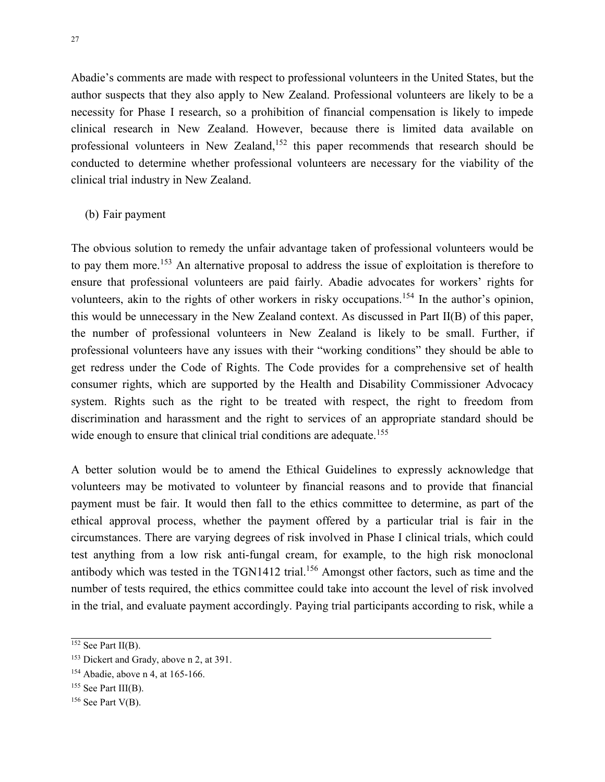Abadie's comments are made with respect to professional volunteers in the United States, but the author suspects that they also apply to New Zealand. Professional volunteers are likely to be a necessity for Phase I research, so a prohibition of financial compensation is likely to impede clinical research in New Zealand. However, because there is limited data available on professional volunteers in New Zealand,<sup>152</sup> this paper recommends that research should be conducted to determine whether professional volunteers are necessary for the viability of the clinical trial industry in New Zealand.

#### (b) Fair payment

The obvious solution to remedy the unfair advantage taken of professional volunteers would be to pay them more.<sup>153</sup> An alternative proposal to address the issue of exploitation is therefore to ensure that professional volunteers are paid fairly. Abadie advocates for workers' rights for volunteers, akin to the rights of other workers in risky occupations.<sup>154</sup> In the author's opinion, this would be unnecessary in the New Zealand context. As discussed in Part II(B) of this paper, the number of professional volunteers in New Zealand is likely to be small. Further, if professional volunteers have any issues with their "working conditions" they should be able to get redress under the Code of Rights. The Code provides for a comprehensive set of health consumer rights, which are supported by the Health and Disability Commissioner Advocacy system. Rights such as the right to be treated with respect, the right to freedom from discrimination and harassment and the right to services of an appropriate standard should be wide enough to ensure that clinical trial conditions are adequate.<sup>155</sup>

A better solution would be to amend the Ethical Guidelines to expressly acknowledge that volunteers may be motivated to volunteer by financial reasons and to provide that financial payment must be fair. It would then fall to the ethics committee to determine, as part of the ethical approval process, whether the payment offered by a particular trial is fair in the circumstances. There are varying degrees of risk involved in Phase I clinical trials, which could test anything from a low risk anti-fungal cream, for example, to the high risk monoclonal antibody which was tested in the TGN1412 trial.<sup>156</sup> Amongst other factors, such as time and the number of tests required, the ethics committee could take into account the level of risk involved in the trial, and evaluate payment accordingly. Paying trial participants according to risk, while a

 $152$  See Part II(B).

<sup>&</sup>lt;sup>153</sup> Dickert and Grady, above n 2, at 391.

<sup>154</sup> Abadie, above n 4, at 165-166.

<sup>&</sup>lt;sup>155</sup> See Part III(B).

 $156$  See Part V(B).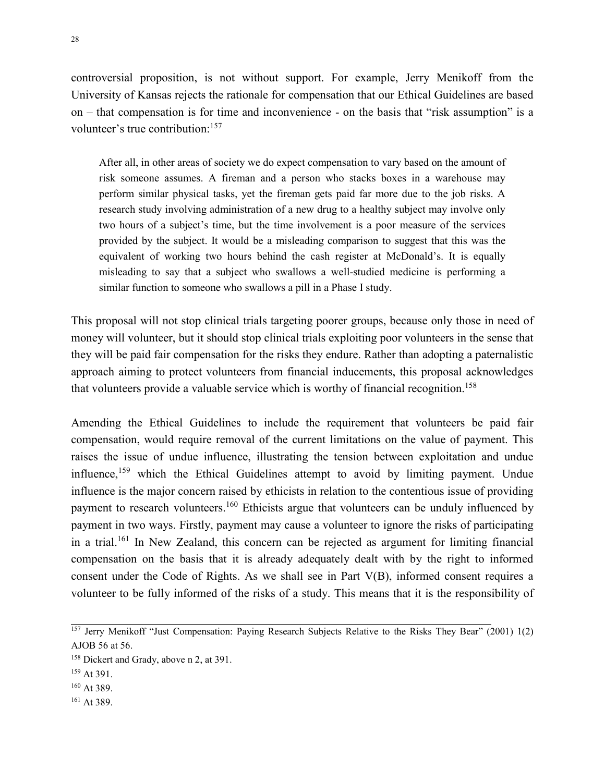controversial proposition, is not without support. For example, Jerry Menikoff from the University of Kansas rejects the rationale for compensation that our Ethical Guidelines are based on – that compensation is for time and inconvenience - on the basis that "risk assumption" is a volunteer's true contribution:<sup>157</sup>

After all, in other areas of society we do expect compensation to vary based on the amount of risk someone assumes. A fireman and a person who stacks boxes in a warehouse may perform similar physical tasks, yet the fireman gets paid far more due to the job risks. A research study involving administration of a new drug to a healthy subject may involve only two hours of a subject's time, but the time involvement is a poor measure of the services provided by the subject. It would be a misleading comparison to suggest that this was the equivalent of working two hours behind the cash register at McDonald's. It is equally misleading to say that a subject who swallows a well-studied medicine is performing a similar function to someone who swallows a pill in a Phase I study.

This proposal will not stop clinical trials targeting poorer groups, because only those in need of money will volunteer, but it should stop clinical trials exploiting poor volunteers in the sense that they will be paid fair compensation for the risks they endure. Rather than adopting a paternalistic approach aiming to protect volunteers from financial inducements, this proposal acknowledges that volunteers provide a valuable service which is worthy of financial recognition.<sup>158</sup>

Amending the Ethical Guidelines to include the requirement that volunteers be paid fair compensation, would require removal of the current limitations on the value of payment. This raises the issue of undue influence, illustrating the tension between exploitation and undue influence,<sup>159</sup> which the Ethical Guidelines attempt to avoid by limiting payment. Undue influence is the major concern raised by ethicists in relation to the contentious issue of providing payment to research volunteers.<sup>160</sup> Ethicists argue that volunteers can be unduly influenced by payment in two ways. Firstly, payment may cause a volunteer to ignore the risks of participating in a trial.<sup>161</sup> In New Zealand, this concern can be rejected as argument for limiting financial compensation on the basis that it is already adequately dealt with by the right to informed consent under the Code of Rights. As we shall see in Part V(B), informed consent requires a volunteer to be fully informed of the risks of a study. This means that it is the responsibility of

<sup>&</sup>lt;sup>157</sup> Jerry Menikoff "Just Compensation: Paying Research Subjects Relative to the Risks They Bear" (2001) 1(2) AJOB 56 at 56.

<sup>&</sup>lt;sup>158</sup> Dickert and Grady, above n 2, at 391.

<sup>159</sup> At 391.

<sup>160</sup> At 389.

<sup>161</sup> At 389.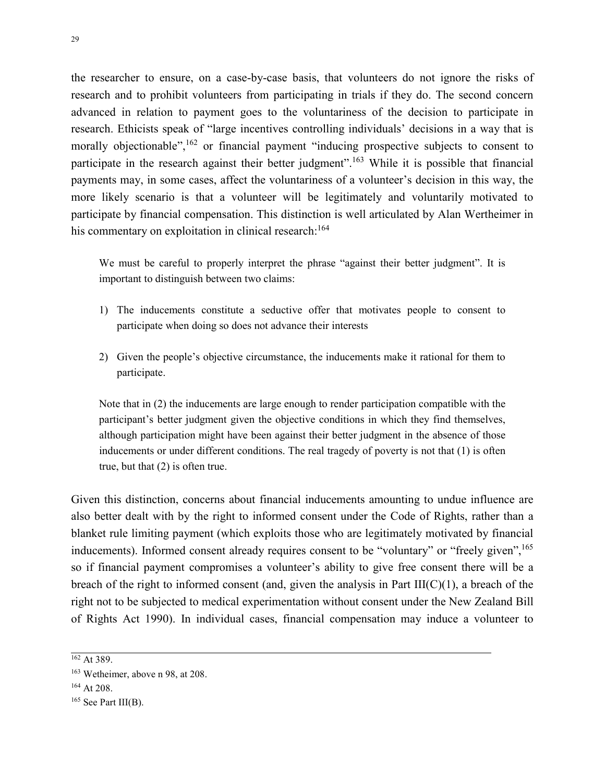the researcher to ensure, on a case-by-case basis, that volunteers do not ignore the risks of research and to prohibit volunteers from participating in trials if they do. The second concern advanced in relation to payment goes to the voluntariness of the decision to participate in research. Ethicists speak of "large incentives controlling individuals' decisions in a way that is morally objectionable", $162$  or financial payment "inducing prospective subjects to consent to participate in the research against their better judgment".<sup>163</sup> While it is possible that financial payments may, in some cases, affect the voluntariness of a volunteer's decision in this way, the more likely scenario is that a volunteer will be legitimately and voluntarily motivated to participate by financial compensation. This distinction is well articulated by Alan Wertheimer in his commentary on exploitation in clinical research:<sup>164</sup>

We must be careful to properly interpret the phrase "against their better judgment". It is important to distinguish between two claims:

- 1) The inducements constitute a seductive offer that motivates people to consent to participate when doing so does not advance their interests
- 2) Given the people's objective circumstance, the inducements make it rational for them to participate.

Note that in (2) the inducements are large enough to render participation compatible with the participant's better judgment given the objective conditions in which they find themselves, although participation might have been against their better judgment in the absence of those inducements or under different conditions. The real tragedy of poverty is not that (1) is often true, but that (2) is often true.

Given this distinction, concerns about financial inducements amounting to undue influence are also better dealt with by the right to informed consent under the Code of Rights, rather than a blanket rule limiting payment (which exploits those who are legitimately motivated by financial inducements). Informed consent already requires consent to be "voluntary" or "freely given", <sup>165</sup> so if financial payment compromises a volunteer's ability to give free consent there will be a breach of the right to informed consent (and, given the analysis in Part  $III(C)(1)$ , a breach of the right not to be subjected to medical experimentation without consent under the New Zealand Bill of Rights Act 1990). In individual cases, financial compensation may induce a volunteer to

 $162$  At 389.

<sup>163</sup> Wetheimer, above n 98, at 208.

<sup>164</sup> At 208.

 $165$  See Part III(B).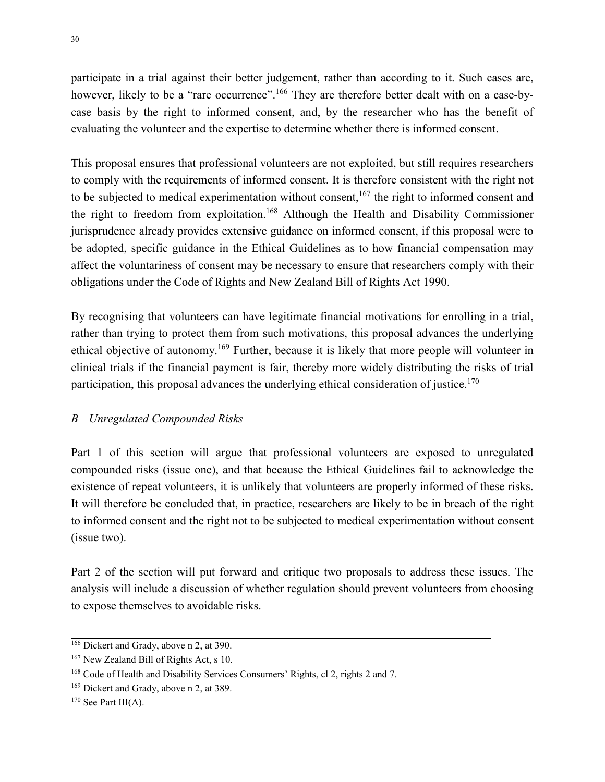participate in a trial against their better judgement, rather than according to it. Such cases are, however, likely to be a "rare occurrence".<sup>166</sup> They are therefore better dealt with on a case-bycase basis by the right to informed consent, and, by the researcher who has the benefit of evaluating the volunteer and the expertise to determine whether there is informed consent.

This proposal ensures that professional volunteers are not exploited, but still requires researchers to comply with the requirements of informed consent. It is therefore consistent with the right not to be subjected to medical experimentation without consent,<sup>167</sup> the right to informed consent and the right to freedom from exploitation.<sup>168</sup> Although the Health and Disability Commissioner jurisprudence already provides extensive guidance on informed consent, if this proposal were to be adopted, specific guidance in the Ethical Guidelines as to how financial compensation may affect the voluntariness of consent may be necessary to ensure that researchers comply with their obligations under the Code of Rights and New Zealand Bill of Rights Act 1990.

By recognising that volunteers can have legitimate financial motivations for enrolling in a trial, rather than trying to protect them from such motivations, this proposal advances the underlying ethical objective of autonomy.<sup>169</sup> Further, because it is likely that more people will volunteer in clinical trials if the financial payment is fair, thereby more widely distributing the risks of trial participation, this proposal advances the underlying ethical consideration of justice.<sup>170</sup>

## *B Unregulated Compounded Risks*

Part 1 of this section will argue that professional volunteers are exposed to unregulated compounded risks (issue one), and that because the Ethical Guidelines fail to acknowledge the existence of repeat volunteers, it is unlikely that volunteers are properly informed of these risks. It will therefore be concluded that, in practice, researchers are likely to be in breach of the right to informed consent and the right not to be subjected to medical experimentation without consent (issue two).

Part 2 of the section will put forward and critique two proposals to address these issues. The analysis will include a discussion of whether regulation should prevent volunteers from choosing to expose themselves to avoidable risks.

<sup>166</sup> Dickert and Grady, above n 2, at 390.

<sup>&</sup>lt;sup>167</sup> New Zealand Bill of Rights Act, s 10.

<sup>168</sup> Code of Health and Disability Services Consumers' Rights, cl 2, rights 2 and 7.

<sup>169</sup> Dickert and Grady, above n 2, at 389.

 $170$  See Part III(A).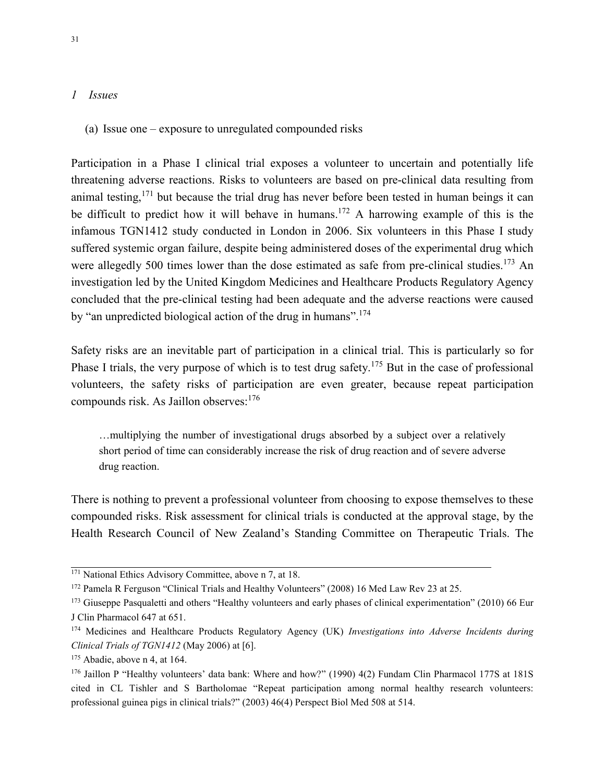#### *1 Issues*

(a) Issue one – exposure to unregulated compounded risks

Participation in a Phase I clinical trial exposes a volunteer to uncertain and potentially life threatening adverse reactions. Risks to volunteers are based on pre-clinical data resulting from animal testing,  $171$  but because the trial drug has never before been tested in human beings it can be difficult to predict how it will behave in humans.<sup>172</sup> A harrowing example of this is the infamous TGN1412 study conducted in London in 2006. Six volunteers in this Phase I study suffered systemic organ failure, despite being administered doses of the experimental drug which were allegedly 500 times lower than the dose estimated as safe from pre-clinical studies.<sup>173</sup> An investigation led by the United Kingdom Medicines and Healthcare Products Regulatory Agency concluded that the pre-clinical testing had been adequate and the adverse reactions were caused by "an unpredicted biological action of the drug in humans".<sup>174</sup>

Safety risks are an inevitable part of participation in a clinical trial. This is particularly so for Phase I trials, the very purpose of which is to test drug safety.<sup>175</sup> But in the case of professional volunteers, the safety risks of participation are even greater, because repeat participation compounds risk. As Jaillon observes:<sup>176</sup>

…multiplying the number of investigational drugs absorbed by a subject over a relatively short period of time can considerably increase the risk of drug reaction and of severe adverse drug reaction.

There is nothing to prevent a professional volunteer from choosing to expose themselves to these compounded risks. Risk assessment for clinical trials is conducted at the approval stage, by the Health Research Council of New Zealand's Standing Committee on Therapeutic Trials. The

 $171$  National Ethics Advisory Committee, above n 7, at 18.

<sup>&</sup>lt;sup>172</sup> Pamela R Ferguson "Clinical Trials and Healthy Volunteers" (2008) 16 Med Law Rev 23 at 25.

<sup>&</sup>lt;sup>173</sup> Giuseppe Pasqualetti and others "Healthy volunteers and early phases of clinical experimentation" (2010) 66 Eur J Clin Pharmacol 647 at 651.

<sup>174</sup> Medicines and Healthcare Products Regulatory Agency (UK) *Investigations into Adverse Incidents during Clinical Trials of TGN1412* (May 2006) at [6].

 $175$  Abadie, above n 4, at 164.

<sup>&</sup>lt;sup>176</sup> Jaillon P "Healthy volunteers' data bank: Where and how?" (1990) 4(2) Fundam Clin Pharmacol 177S at 181S cited in CL Tishler and S Bartholomae "Repeat participation among normal healthy research volunteers: professional guinea pigs in clinical trials?" (2003) 46(4) Perspect Biol Med 508 at 514.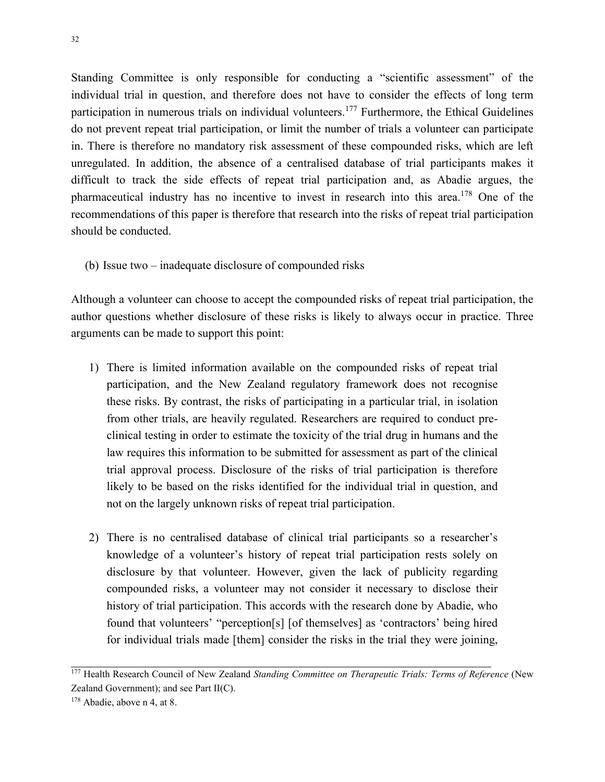Standing Committee is only responsible for conducting a "scientific assessment" of the individual trial in question, and therefore does not have to consider the effects of long term participation in numerous trials on individual volunteers.<sup>177</sup> Furthermore, the Ethical Guidelines do not prevent repeat trial participation, or limit the number of trials a volunteer can participate in. There is therefore no mandatory risk assessment of these compounded risks, which are left unregulated. In addition, the absence of a centralised database of trial participants makes it difficult to track the side effects of repeat trial participation and, as Abadie argues, the pharmaceutical industry has no incentive to invest in research into this area.<sup>178</sup> One of the recommendations of this paper is therefore that research into the risks of repeat trial participation should be conducted.

(b) Issue two – inadequate disclosure of compounded risks

Although a volunteer can choose to accept the compounded risks of repeat trial participation, the author questions whether disclosure of these risks is likely to always occur in practice. Three arguments can be made to support this point:

- 1) There is limited information available on the compounded risks of repeat trial participation, and the New Zealand regulatory framework does not recognise these risks. By contrast, the risks of participating in a particular trial, in isolation from other trials, are heavily regulated. Researchers are required to conduct preclinical testing in order to estimate the toxicity of the trial drug in humans and the law requires this information to be submitted for assessment as part of the clinical trial approval process. Disclosure of the risks of trial participation is therefore likely to be based on the risks identified for the individual trial in question, and not on the largely unknown risks of repeat trial participation.
- 2) There is no centralised database of clinical trial participants so a researcher's knowledge of a volunteer's history of repeat trial participation rests solely on disclosure by that volunteer. However, given the lack of publicity regarding compounded risks, a volunteer may not consider it necessary to disclose their history of trial participation. This accords with the research done by Abadie, who found that volunteers' "perception[s] [of themselves] as 'contractors' being hired for individual trials made [them] consider the risks in the trial they were joining,

<sup>&</sup>lt;sup>177</sup> Health Research Council of New Zealand *Standing Committee on Therapeutic Trials: Terms of Reference* (New Zealand Government); and see Part II(C).

<sup>&</sup>lt;sup>178</sup> Abadie, above n 4, at 8.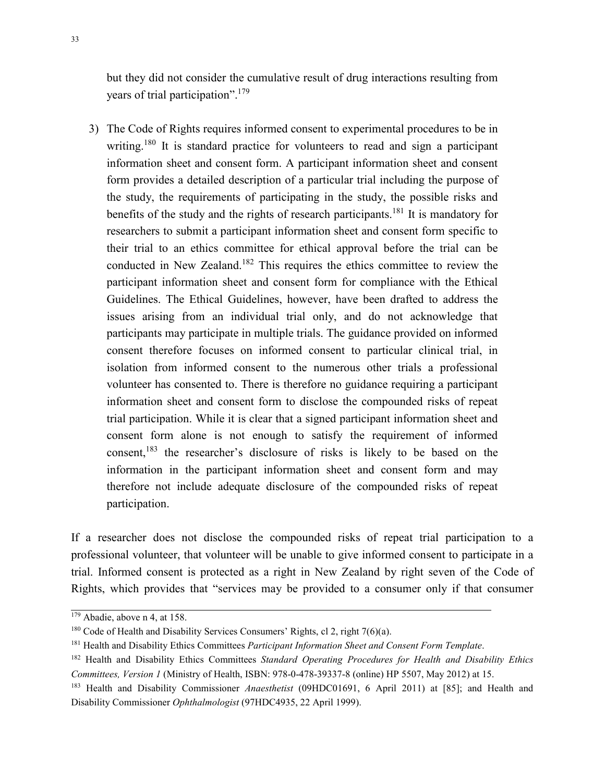but they did not consider the cumulative result of drug interactions resulting from years of trial participation".<sup>179</sup>

3) The Code of Rights requires informed consent to experimental procedures to be in writing.<sup>180</sup> It is standard practice for volunteers to read and sign a participant information sheet and consent form. A participant information sheet and consent form provides a detailed description of a particular trial including the purpose of the study, the requirements of participating in the study, the possible risks and benefits of the study and the rights of research participants.<sup>181</sup> It is mandatory for researchers to submit a participant information sheet and consent form specific to their trial to an ethics committee for ethical approval before the trial can be conducted in New Zealand.<sup>182</sup> This requires the ethics committee to review the participant information sheet and consent form for compliance with the Ethical Guidelines. The Ethical Guidelines, however, have been drafted to address the issues arising from an individual trial only, and do not acknowledge that participants may participate in multiple trials. The guidance provided on informed consent therefore focuses on informed consent to particular clinical trial, in isolation from informed consent to the numerous other trials a professional volunteer has consented to. There is therefore no guidance requiring a participant information sheet and consent form to disclose the compounded risks of repeat trial participation. While it is clear that a signed participant information sheet and consent form alone is not enough to satisfy the requirement of informed consent,  $183$  the researcher's disclosure of risks is likely to be based on the information in the participant information sheet and consent form and may therefore not include adequate disclosure of the compounded risks of repeat participation.

If a researcher does not disclose the compounded risks of repeat trial participation to a professional volunteer, that volunteer will be unable to give informed consent to participate in a trial. Informed consent is protected as a right in New Zealand by right seven of the Code of Rights, which provides that "services may be provided to a consumer only if that consumer

 $179$  Abadie, above n 4, at 158.

<sup>&</sup>lt;sup>180</sup> Code of Health and Disability Services Consumers' Rights, cl 2, right  $7(6)(a)$ .

<sup>181</sup> Health and Disability Ethics Committees *Participant Information Sheet and Consent Form Template*.

<sup>182</sup> Health and Disability Ethics Committees *Standard Operating Procedures for Health and Disability Ethics Committees, Version 1* (Ministry of Health, ISBN: 978-0-478-39337-8 (online) HP 5507, May 2012) at 15.

<sup>183</sup> Health and Disability Commissioner *Anaesthetist* (09HDC01691, 6 April 2011) at [85]; and Health and Disability Commissioner *Ophthalmologist* (97HDC4935, 22 April 1999).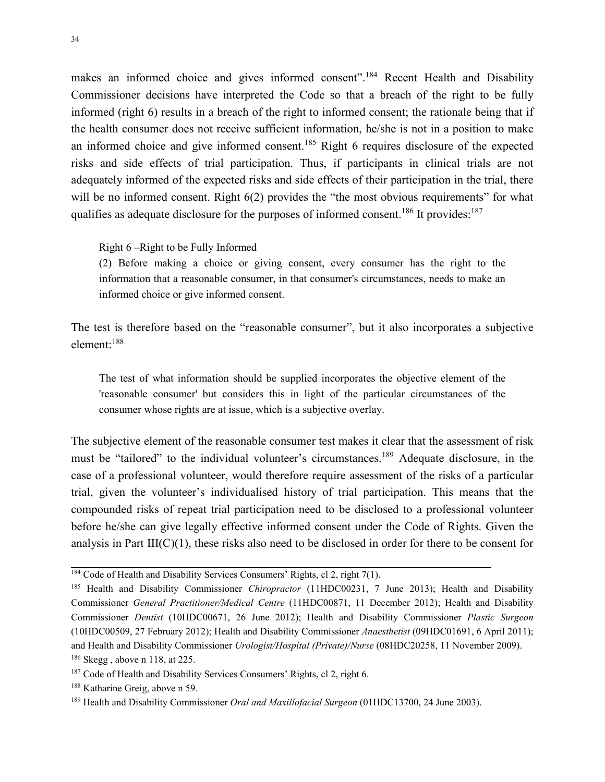makes an informed choice and gives informed consent".<sup>184</sup> Recent Health and Disability Commissioner decisions have interpreted the Code so that a breach of the right to be fully informed (right 6) results in a breach of the right to informed consent; the rationale being that if the health consumer does not receive sufficient information, he/she is not in a position to make an informed choice and give informed consent.<sup>185</sup> Right 6 requires disclosure of the expected risks and side effects of trial participation. Thus, if participants in clinical trials are not adequately informed of the expected risks and side effects of their participation in the trial, there will be no informed consent. Right 6(2) provides the "the most obvious requirements" for what qualifies as adequate disclosure for the purposes of informed consent.<sup>186</sup> It provides:<sup>187</sup>

Right 6 –Right to be Fully Informed

(2) Before making a choice or giving consent, every consumer has the right to the information that a reasonable consumer, in that consumer's circumstances, needs to make an informed choice or give informed consent.

The test is therefore based on the "reasonable consumer", but it also incorporates a subjective element:<sup>188</sup>

The test of what information should be supplied incorporates the objective element of the 'reasonable consumer' but considers this in light of the particular circumstances of the consumer whose rights are at issue, which is a subjective overlay.

The subjective element of the reasonable consumer test makes it clear that the assessment of risk must be "tailored" to the individual volunteer's circumstances.<sup>189</sup> Adequate disclosure, in the case of a professional volunteer, would therefore require assessment of the risks of a particular trial, given the volunteer's individualised history of trial participation. This means that the compounded risks of repeat trial participation need to be disclosed to a professional volunteer before he/she can give legally effective informed consent under the Code of Rights. Given the analysis in Part  $III(C)(1)$ , these risks also need to be disclosed in order for there to be consent for

<sup>&</sup>lt;sup>184</sup> Code of Health and Disability Services Consumers' Rights, cl 2, right 7(1).

<sup>&</sup>lt;sup>185</sup> Health and Disability Commissioner *Chiropractor* (11HDC00231, 7 June 2013); Health and Disability Commissioner *General Practitioner/Medical Centre* (11HDC00871, 11 December 2012); Health and Disability Commissioner *Dentist* (10HDC00671, 26 June 2012); Health and Disability Commissioner *Plastic Surgeon* (10HDC00509, 27 February 2012); Health and Disability Commissioner *Anaesthetist* (09HDC01691, 6 April 2011); and Health and Disability Commissioner *Urologist/Hospital (Private)/Nurse* (08HDC20258, 11 November 2009). <sup>186</sup> Skegg , above n 118, at 225.

<sup>187</sup> Code of Health and Disability Services Consumers' Rights, cl 2, right 6.

<sup>188</sup> Katharine Greig, above n 59.

<sup>189</sup> Health and Disability Commissioner *Oral and Maxillofacial Surgeon* (01HDC13700, 24 June 2003).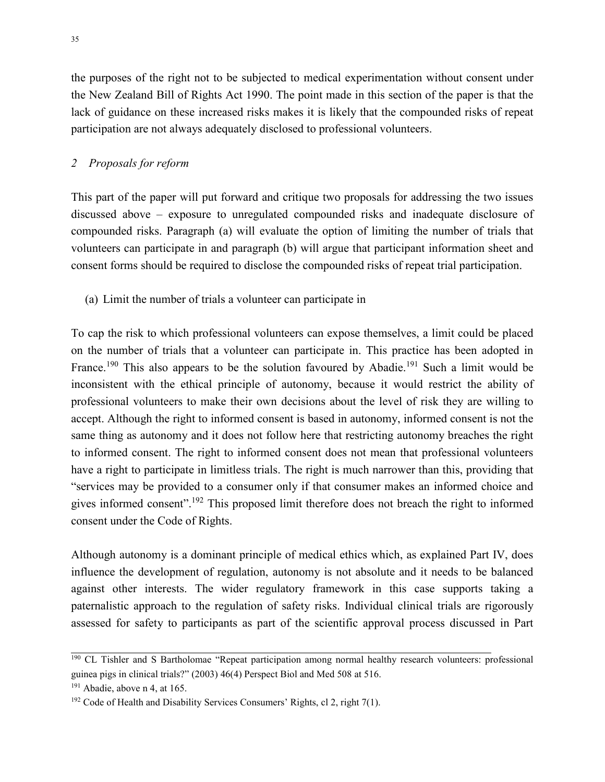the purposes of the right not to be subjected to medical experimentation without consent under the New Zealand Bill of Rights Act 1990. The point made in this section of the paper is that the lack of guidance on these increased risks makes it is likely that the compounded risks of repeat participation are not always adequately disclosed to professional volunteers.

## *2 Proposals for reform*

This part of the paper will put forward and critique two proposals for addressing the two issues discussed above – exposure to unregulated compounded risks and inadequate disclosure of compounded risks. Paragraph (a) will evaluate the option of limiting the number of trials that volunteers can participate in and paragraph (b) will argue that participant information sheet and consent forms should be required to disclose the compounded risks of repeat trial participation.

(a) Limit the number of trials a volunteer can participate in

To cap the risk to which professional volunteers can expose themselves, a limit could be placed on the number of trials that a volunteer can participate in. This practice has been adopted in France.<sup>190</sup> This also appears to be the solution favoured by Abadie.<sup>191</sup> Such a limit would be inconsistent with the ethical principle of autonomy, because it would restrict the ability of professional volunteers to make their own decisions about the level of risk they are willing to accept. Although the right to informed consent is based in autonomy, informed consent is not the same thing as autonomy and it does not follow here that restricting autonomy breaches the right to informed consent. The right to informed consent does not mean that professional volunteers have a right to participate in limitless trials. The right is much narrower than this, providing that "services may be provided to a consumer only if that consumer makes an informed choice and gives informed consent".<sup>192</sup> This proposed limit therefore does not breach the right to informed consent under the Code of Rights.

Although autonomy is a dominant principle of medical ethics which, as explained Part IV, does influence the development of regulation, autonomy is not absolute and it needs to be balanced against other interests. The wider regulatory framework in this case supports taking a paternalistic approach to the regulation of safety risks. Individual clinical trials are rigorously assessed for safety to participants as part of the scientific approval process discussed in Part

<sup>&</sup>lt;sup>190</sup> CL Tishler and S Bartholomae "Repeat participation among normal healthy research volunteers: professional guinea pigs in clinical trials?" (2003) 46(4) Perspect Biol and Med 508 at 516.

 $191$  Abadie, above n 4, at 165.

 $192$  Code of Health and Disability Services Consumers' Rights, cl 2, right 7(1).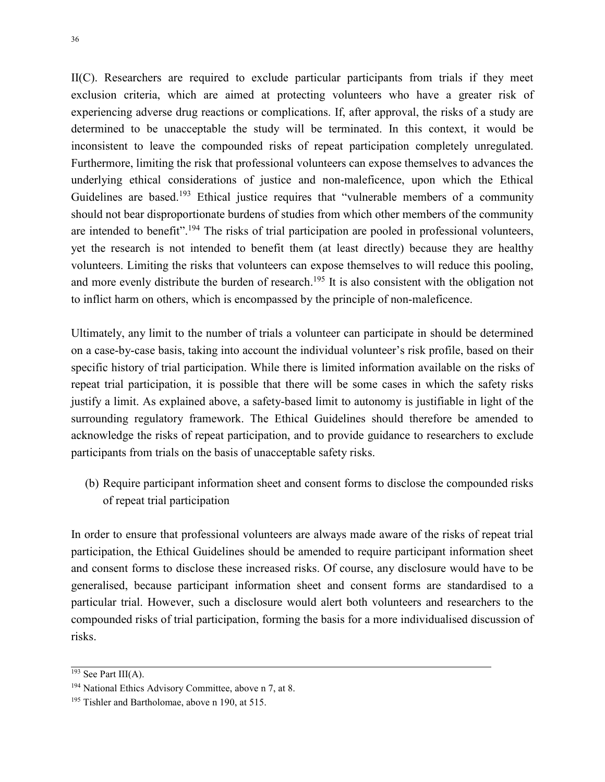II(C). Researchers are required to exclude particular participants from trials if they meet exclusion criteria, which are aimed at protecting volunteers who have a greater risk of experiencing adverse drug reactions or complications. If, after approval, the risks of a study are determined to be unacceptable the study will be terminated. In this context, it would be inconsistent to leave the compounded risks of repeat participation completely unregulated. Furthermore, limiting the risk that professional volunteers can expose themselves to advances the underlying ethical considerations of justice and non-maleficence, upon which the Ethical Guidelines are based.<sup>193</sup> Ethical justice requires that "vulnerable members of a community" should not bear disproportionate burdens of studies from which other members of the community are intended to benefit".<sup>194</sup> The risks of trial participation are pooled in professional volunteers, yet the research is not intended to benefit them (at least directly) because they are healthy volunteers. Limiting the risks that volunteers can expose themselves to will reduce this pooling, and more evenly distribute the burden of research.<sup>195</sup> It is also consistent with the obligation not to inflict harm on others, which is encompassed by the principle of non-maleficence.

Ultimately, any limit to the number of trials a volunteer can participate in should be determined on a case-by-case basis, taking into account the individual volunteer's risk profile, based on their specific history of trial participation. While there is limited information available on the risks of repeat trial participation, it is possible that there will be some cases in which the safety risks justify a limit. As explained above, a safety-based limit to autonomy is justifiable in light of the surrounding regulatory framework. The Ethical Guidelines should therefore be amended to acknowledge the risks of repeat participation, and to provide guidance to researchers to exclude participants from trials on the basis of unacceptable safety risks.

(b) Require participant information sheet and consent forms to disclose the compounded risks of repeat trial participation

In order to ensure that professional volunteers are always made aware of the risks of repeat trial participation, the Ethical Guidelines should be amended to require participant information sheet and consent forms to disclose these increased risks. Of course, any disclosure would have to be generalised, because participant information sheet and consent forms are standardised to a particular trial. However, such a disclosure would alert both volunteers and researchers to the compounded risks of trial participation, forming the basis for a more individualised discussion of risks.

 $193$  See Part III(A).

<sup>194</sup> National Ethics Advisory Committee, above n 7, at 8.

<sup>&</sup>lt;sup>195</sup> Tishler and Bartholomae, above n 190, at 515.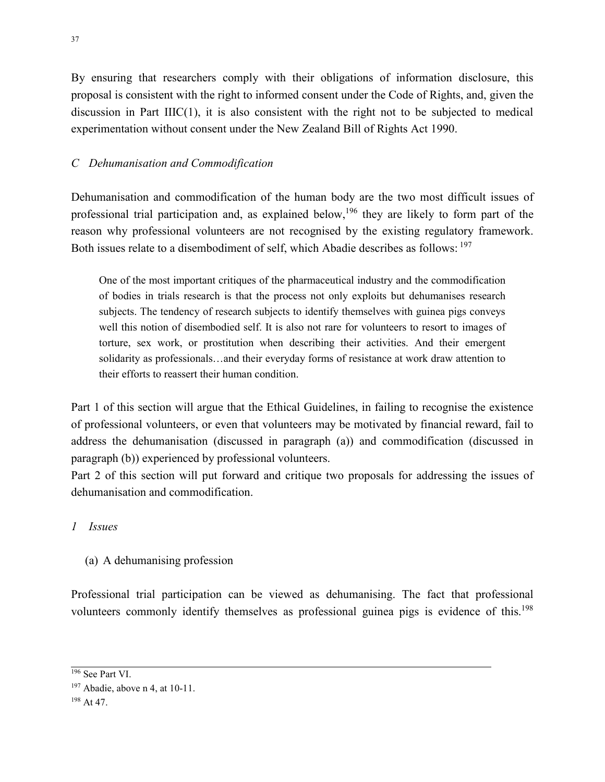By ensuring that researchers comply with their obligations of information disclosure, this proposal is consistent with the right to informed consent under the Code of Rights, and, given the discussion in Part IIIC $(1)$ , it is also consistent with the right not to be subjected to medical experimentation without consent under the New Zealand Bill of Rights Act 1990.

## *C Dehumanisation and Commodification*

Dehumanisation and commodification of the human body are the two most difficult issues of professional trial participation and, as explained below,<sup>196</sup> they are likely to form part of the reason why professional volunteers are not recognised by the existing regulatory framework. Both issues relate to a disembodiment of self, which Abadie describes as follows: <sup>197</sup>

One of the most important critiques of the pharmaceutical industry and the commodification of bodies in trials research is that the process not only exploits but dehumanises research subjects. The tendency of research subjects to identify themselves with guinea pigs conveys well this notion of disembodied self. It is also not rare for volunteers to resort to images of torture, sex work, or prostitution when describing their activities. And their emergent solidarity as professionals…and their everyday forms of resistance at work draw attention to their efforts to reassert their human condition.

Part 1 of this section will argue that the Ethical Guidelines, in failing to recognise the existence of professional volunteers, or even that volunteers may be motivated by financial reward, fail to address the dehumanisation (discussed in paragraph (a)) and commodification (discussed in paragraph (b)) experienced by professional volunteers.

Part 2 of this section will put forward and critique two proposals for addressing the issues of dehumanisation and commodification.

#### *1 Issues*

#### (a) A dehumanising profession

Professional trial participation can be viewed as dehumanising. The fact that professional volunteers commonly identify themselves as professional guinea pigs is evidence of this.<sup>198</sup>

<sup>196</sup> See Part VI.

<sup>197</sup> Abadie, above n 4, at 10-11.

<sup>198</sup> At 47.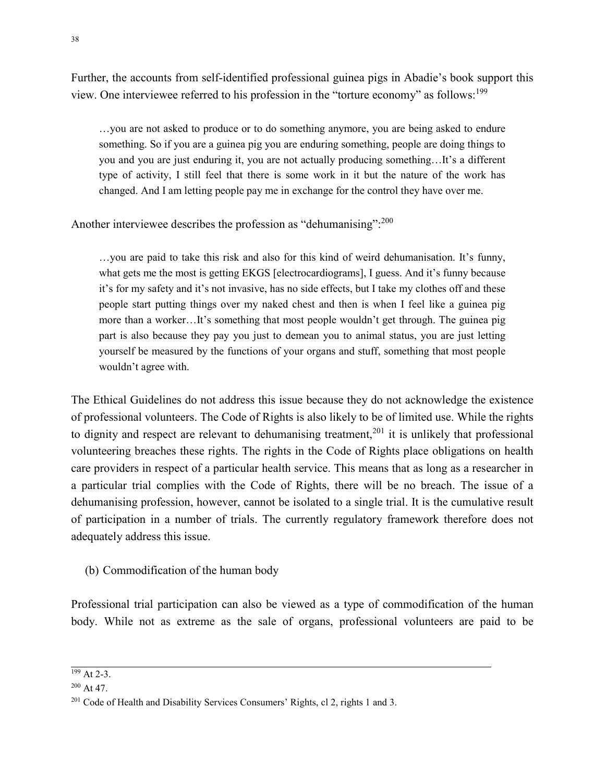Further, the accounts from self-identified professional guinea pigs in Abadie's book support this view. One interviewee referred to his profession in the "torture economy" as follows:<sup>199</sup>

…you are not asked to produce or to do something anymore, you are being asked to endure something. So if you are a guinea pig you are enduring something, people are doing things to you and you are just enduring it, you are not actually producing something…It's a different type of activity, I still feel that there is some work in it but the nature of the work has changed. And I am letting people pay me in exchange for the control they have over me.

Another interviewee describes the profession as "dehumanising":<sup>200</sup>

…you are paid to take this risk and also for this kind of weird dehumanisation. It's funny, what gets me the most is getting EKGS [electrocardiograms], I guess. And it's funny because it's for my safety and it's not invasive, has no side effects, but I take my clothes off and these people start putting things over my naked chest and then is when I feel like a guinea pig more than a worker…It's something that most people wouldn't get through. The guinea pig part is also because they pay you just to demean you to animal status, you are just letting yourself be measured by the functions of your organs and stuff, something that most people wouldn't agree with.

The Ethical Guidelines do not address this issue because they do not acknowledge the existence of professional volunteers. The Code of Rights is also likely to be of limited use. While the rights to dignity and respect are relevant to dehumanising treatment,<sup>201</sup> it is unlikely that professional volunteering breaches these rights. The rights in the Code of Rights place obligations on health care providers in respect of a particular health service. This means that as long as a researcher in a particular trial complies with the Code of Rights, there will be no breach. The issue of a dehumanising profession, however, cannot be isolated to a single trial. It is the cumulative result of participation in a number of trials. The currently regulatory framework therefore does not adequately address this issue.

(b) Commodification of the human body

Professional trial participation can also be viewed as a type of commodification of the human body. While not as extreme as the sale of organs, professional volunteers are paid to be

 $199$  At 2-3.

<sup>200</sup> At 47.

<sup>201</sup> Code of Health and Disability Services Consumers' Rights, cl 2, rights 1 and 3.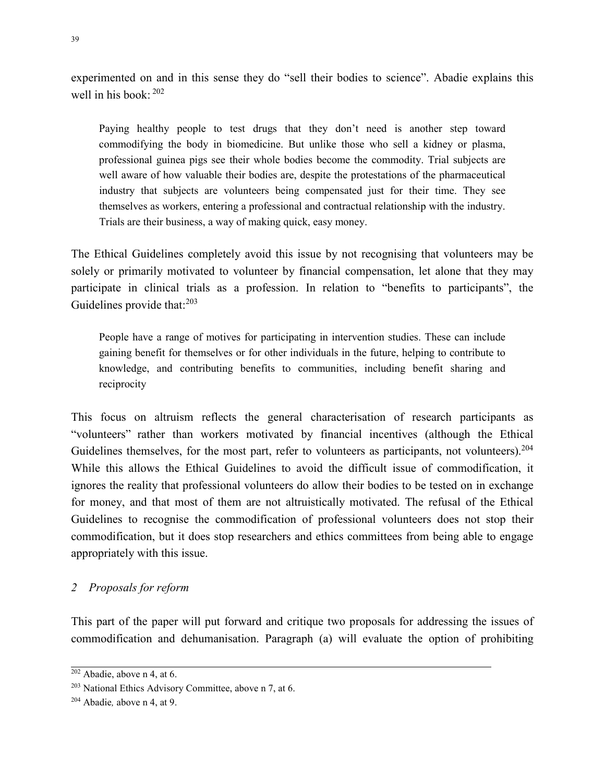experimented on and in this sense they do "sell their bodies to science". Abadie explains this well in his book:  $202$ 

Paying healthy people to test drugs that they don't need is another step toward commodifying the body in biomedicine. But unlike those who sell a kidney or plasma, professional guinea pigs see their whole bodies become the commodity. Trial subjects are well aware of how valuable their bodies are, despite the protestations of the pharmaceutical industry that subjects are volunteers being compensated just for their time. They see themselves as workers, entering a professional and contractual relationship with the industry. Trials are their business, a way of making quick, easy money.

The Ethical Guidelines completely avoid this issue by not recognising that volunteers may be solely or primarily motivated to volunteer by financial compensation, let alone that they may participate in clinical trials as a profession. In relation to "benefits to participants", the Guidelines provide that:<sup>203</sup>

People have a range of motives for participating in intervention studies. These can include gaining benefit for themselves or for other individuals in the future, helping to contribute to knowledge, and contributing benefits to communities, including benefit sharing and reciprocity

This focus on altruism reflects the general characterisation of research participants as "volunteers" rather than workers motivated by financial incentives (although the Ethical Guidelines themselves, for the most part, refer to volunteers as participants, not volunteers).<sup>204</sup> While this allows the Ethical Guidelines to avoid the difficult issue of commodification, it ignores the reality that professional volunteers do allow their bodies to be tested on in exchange for money, and that most of them are not altruistically motivated. The refusal of the Ethical Guidelines to recognise the commodification of professional volunteers does not stop their commodification, but it does stop researchers and ethics committees from being able to engage appropriately with this issue.

#### *2 Proposals for reform*

This part of the paper will put forward and critique two proposals for addressing the issues of commodification and dehumanisation. Paragraph (a) will evaluate the option of prohibiting

 $202$  Abadie, above n 4, at 6.

<sup>203</sup> National Ethics Advisory Committee, above n 7, at 6.

<sup>204</sup> Abadie*,* above n 4, at 9.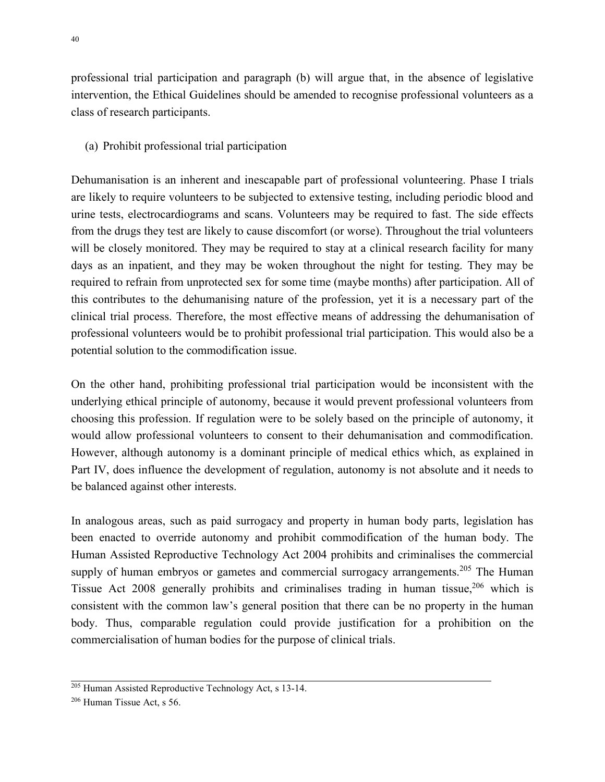professional trial participation and paragraph (b) will argue that, in the absence of legislative intervention, the Ethical Guidelines should be amended to recognise professional volunteers as a class of research participants.

#### (a) Prohibit professional trial participation

Dehumanisation is an inherent and inescapable part of professional volunteering. Phase I trials are likely to require volunteers to be subjected to extensive testing, including periodic blood and urine tests, electrocardiograms and scans. Volunteers may be required to fast. The side effects from the drugs they test are likely to cause discomfort (or worse). Throughout the trial volunteers will be closely monitored. They may be required to stay at a clinical research facility for many days as an inpatient, and they may be woken throughout the night for testing. They may be required to refrain from unprotected sex for some time (maybe months) after participation. All of this contributes to the dehumanising nature of the profession, yet it is a necessary part of the clinical trial process. Therefore, the most effective means of addressing the dehumanisation of professional volunteers would be to prohibit professional trial participation. This would also be a potential solution to the commodification issue.

On the other hand, prohibiting professional trial participation would be inconsistent with the underlying ethical principle of autonomy, because it would prevent professional volunteers from choosing this profession. If regulation were to be solely based on the principle of autonomy, it would allow professional volunteers to consent to their dehumanisation and commodification. However, although autonomy is a dominant principle of medical ethics which, as explained in Part IV, does influence the development of regulation, autonomy is not absolute and it needs to be balanced against other interests.

In analogous areas, such as paid surrogacy and property in human body parts, legislation has been enacted to override autonomy and prohibit commodification of the human body. The Human Assisted Reproductive Technology Act 2004 prohibits and criminalises the commercial supply of human embryos or gametes and commercial surrogacy arrangements.<sup>205</sup> The Human Tissue Act 2008 generally prohibits and criminalises trading in human tissue,<sup>206</sup> which is consistent with the common law's general position that there can be no property in the human body. Thus, comparable regulation could provide justification for a prohibition on the commercialisation of human bodies for the purpose of clinical trials.

<sup>&</sup>lt;sup>205</sup> Human Assisted Reproductive Technology Act, s 13-14.

<sup>206</sup> Human Tissue Act, s 56.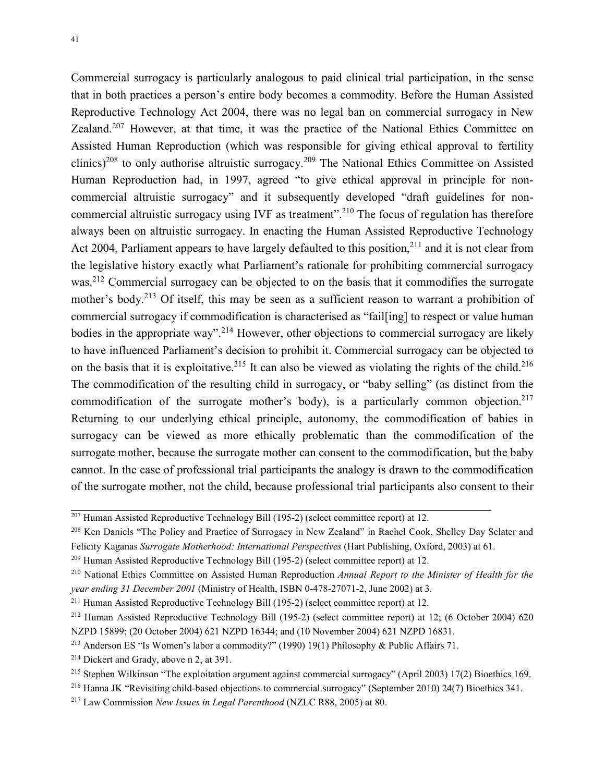Commercial surrogacy is particularly analogous to paid clinical trial participation, in the sense that in both practices a person's entire body becomes a commodity. Before the Human Assisted Reproductive Technology Act 2004, there was no legal ban on commercial surrogacy in New Zealand.<sup>207</sup> However, at that time, it was the practice of the National Ethics Committee on Assisted Human Reproduction (which was responsible for giving ethical approval to fertility clinics)<sup>208</sup> to only authorise altruistic surrogacy.<sup>209</sup> The National Ethics Committee on Assisted Human Reproduction had, in 1997, agreed "to give ethical approval in principle for noncommercial altruistic surrogacy" and it subsequently developed "draft guidelines for noncommercial altruistic surrogacy using IVF as treatment".<sup>210</sup> The focus of regulation has therefore always been on altruistic surrogacy. In enacting the Human Assisted Reproductive Technology Act 2004, Parliament appears to have largely defaulted to this position,<sup>211</sup> and it is not clear from the legislative history exactly what Parliament's rationale for prohibiting commercial surrogacy was.<sup>212</sup> Commercial surrogacy can be objected to on the basis that it commodifies the surrogate mother's body.<sup>213</sup> Of itself, this may be seen as a sufficient reason to warrant a prohibition of commercial surrogacy if commodification is characterised as "fail[ing] to respect or value human bodies in the appropriate way".<sup>214</sup> However, other objections to commercial surrogacy are likely to have influenced Parliament's decision to prohibit it. Commercial surrogacy can be objected to on the basis that it is exploitative.<sup>215</sup> It can also be viewed as violating the rights of the child.<sup>216</sup> The commodification of the resulting child in surrogacy, or "baby selling" (as distinct from the commodification of the surrogate mother's body), is a particularly common objection.<sup>217</sup> Returning to our underlying ethical principle, autonomy, the commodification of babies in surrogacy can be viewed as more ethically problematic than the commodification of the surrogate mother, because the surrogate mother can consent to the commodification, but the baby cannot. In the case of professional trial participants the analogy is drawn to the commodification of the surrogate mother, not the child, because professional trial participants also consent to their

<sup>&</sup>lt;sup>207</sup> Human Assisted Reproductive Technology Bill (195-2) (select committee report) at 12.

<sup>208</sup> Ken Daniels "The Policy and Practice of Surrogacy in New Zealand" in Rachel Cook, Shelley Day Sclater and Felicity Kaganas *Surrogate Motherhood: International Perspectives* (Hart Publishing, Oxford, 2003) at 61.

<sup>209</sup> Human Assisted Reproductive Technology Bill (195-2) (select committee report) at 12.

<sup>210</sup> National Ethics Committee on Assisted Human Reproduction *Annual Report to the Minister of Health for the year ending 31 December 2001* (Ministry of Health, ISBN 0-478-27071-2, June 2002) at 3.

<sup>211</sup> Human Assisted Reproductive Technology Bill (195-2) (select committee report) at 12.

<sup>212</sup> Human Assisted Reproductive Technology Bill (195-2) (select committee report) at 12; (6 October 2004) 620 NZPD 15899; (20 October 2004) 621 NZPD 16344; and (10 November 2004) 621 NZPD 16831.

<sup>213</sup> Anderson ES "Is Women's labor a commodity?" (1990) 19(1) Philosophy & Public Affairs 71.

<sup>&</sup>lt;sup>214</sup> Dickert and Grady, above n 2, at 391.

<sup>215</sup> Stephen Wilkinson "The exploitation argument against commercial surrogacy" (April 2003) 17(2) Bioethics 169.

<sup>216</sup> Hanna JK "Revisiting child-based objections to commercial surrogacy" (September 2010) 24(7) Bioethics 341.

<sup>217</sup> Law Commission *New Issues in Legal Parenthood* (NZLC R88, 2005) at 80.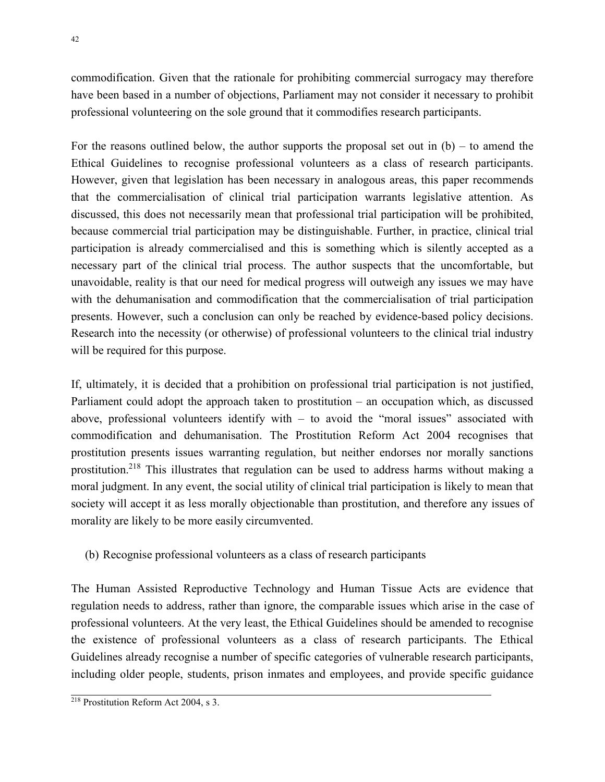commodification. Given that the rationale for prohibiting commercial surrogacy may therefore have been based in a number of objections, Parliament may not consider it necessary to prohibit professional volunteering on the sole ground that it commodifies research participants.

For the reasons outlined below, the author supports the proposal set out in  $(b)$  – to amend the Ethical Guidelines to recognise professional volunteers as a class of research participants. However, given that legislation has been necessary in analogous areas, this paper recommends that the commercialisation of clinical trial participation warrants legislative attention. As discussed, this does not necessarily mean that professional trial participation will be prohibited, because commercial trial participation may be distinguishable. Further, in practice, clinical trial participation is already commercialised and this is something which is silently accepted as a necessary part of the clinical trial process. The author suspects that the uncomfortable, but unavoidable, reality is that our need for medical progress will outweigh any issues we may have with the dehumanisation and commodification that the commercialisation of trial participation presents. However, such a conclusion can only be reached by evidence-based policy decisions. Research into the necessity (or otherwise) of professional volunteers to the clinical trial industry will be required for this purpose.

If, ultimately, it is decided that a prohibition on professional trial participation is not justified, Parliament could adopt the approach taken to prostitution – an occupation which, as discussed above, professional volunteers identify with  $-$  to avoid the "moral issues" associated with commodification and dehumanisation. The Prostitution Reform Act 2004 recognises that prostitution presents issues warranting regulation, but neither endorses nor morally sanctions prostitution.<sup>218</sup> This illustrates that regulation can be used to address harms without making a moral judgment. In any event, the social utility of clinical trial participation is likely to mean that society will accept it as less morally objectionable than prostitution, and therefore any issues of morality are likely to be more easily circumvented.

(b) Recognise professional volunteers as a class of research participants

The Human Assisted Reproductive Technology and Human Tissue Acts are evidence that regulation needs to address, rather than ignore, the comparable issues which arise in the case of professional volunteers. At the very least, the Ethical Guidelines should be amended to recognise the existence of professional volunteers as a class of research participants. The Ethical Guidelines already recognise a number of specific categories of vulnerable research participants, including older people, students, prison inmates and employees, and provide specific guidance

 $218$  Prostitution Reform Act 2004, s 3.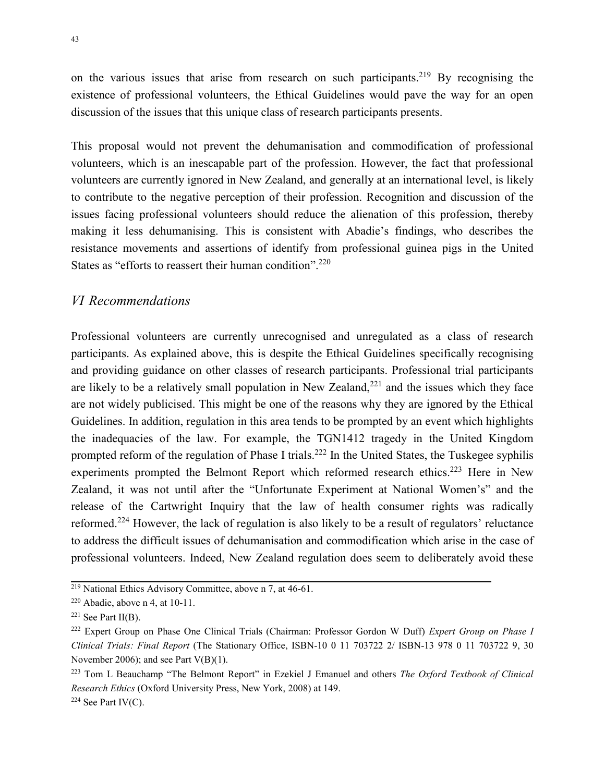on the various issues that arise from research on such participants.<sup>219</sup> By recognising the existence of professional volunteers, the Ethical Guidelines would pave the way for an open discussion of the issues that this unique class of research participants presents.

This proposal would not prevent the dehumanisation and commodification of professional volunteers, which is an inescapable part of the profession. However, the fact that professional volunteers are currently ignored in New Zealand, and generally at an international level, is likely to contribute to the negative perception of their profession. Recognition and discussion of the issues facing professional volunteers should reduce the alienation of this profession, thereby making it less dehumanising. This is consistent with Abadie's findings, who describes the resistance movements and assertions of identify from professional guinea pigs in the United States as "efforts to reassert their human condition".<sup>220</sup>

#### *VI Recommendations*

Professional volunteers are currently unrecognised and unregulated as a class of research participants. As explained above, this is despite the Ethical Guidelines specifically recognising and providing guidance on other classes of research participants. Professional trial participants are likely to be a relatively small population in New Zealand, $221$  and the issues which they face are not widely publicised. This might be one of the reasons why they are ignored by the Ethical Guidelines. In addition, regulation in this area tends to be prompted by an event which highlights the inadequacies of the law. For example, the TGN1412 tragedy in the United Kingdom prompted reform of the regulation of Phase I trials.<sup>222</sup> In the United States, the Tuskegee syphilis experiments prompted the Belmont Report which reformed research ethics.<sup>223</sup> Here in New Zealand, it was not until after the "Unfortunate Experiment at National Women's" and the release of the Cartwright Inquiry that the law of health consumer rights was radically reformed.<sup>224</sup> However, the lack of regulation is also likely to be a result of regulators' reluctance to address the difficult issues of dehumanisation and commodification which arise in the case of professional volunteers. Indeed, New Zealand regulation does seem to deliberately avoid these

<sup>&</sup>lt;sup>219</sup> National Ethics Advisory Committee, above n 7, at 46-61.

<sup>220</sup> Abadie, above n 4, at 10-11.

 $221$  See Part II(B).

<sup>222</sup> Expert Group on Phase One Clinical Trials (Chairman: Professor Gordon W Duff) *Expert Group on Phase I Clinical Trials: Final Report* (The Stationary Office, ISBN-10 0 11 703722 2/ ISBN-13 978 0 11 703722 9, 30 November 2006); and see Part V(B)(1).

<sup>223</sup> Tom L Beauchamp "The Belmont Report" in Ezekiel J Emanuel and others *The Oxford Textbook of Clinical Research Ethics* (Oxford University Press, New York, 2008) at 149.  $224$  See Part IV(C).

<sup>43</sup>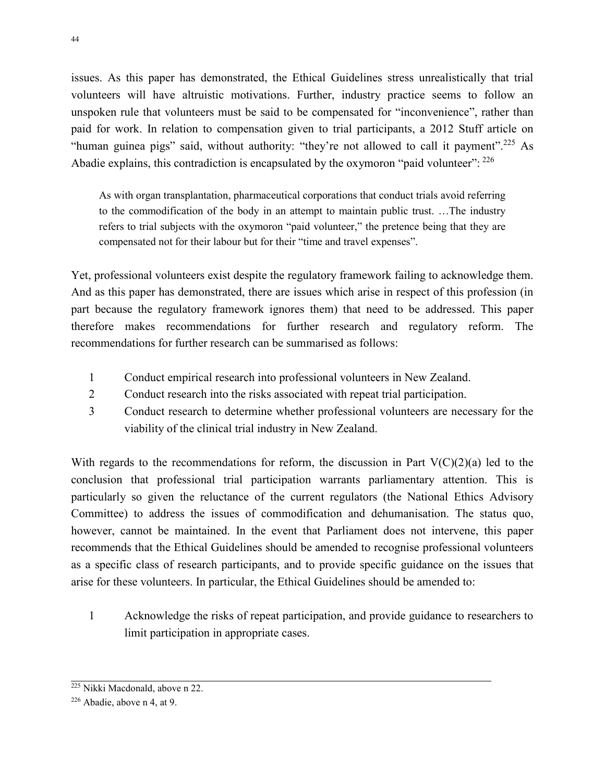issues. As this paper has demonstrated, the Ethical Guidelines stress unrealistically that trial volunteers will have altruistic motivations. Further, industry practice seems to follow an unspoken rule that volunteers must be said to be compensated for "inconvenience", rather than paid for work. In relation to compensation given to trial participants, a 2012 Stuff article on "human guinea pigs" said, without authority: "they're not allowed to call it payment".<sup>225</sup> As Abadie explains, this contradiction is encapsulated by the oxymoron "paid volunteer":  $226$ 

As with organ transplantation, pharmaceutical corporations that conduct trials avoid referring to the commodification of the body in an attempt to maintain public trust. …The industry refers to trial subjects with the oxymoron "paid volunteer," the pretence being that they are compensated not for their labour but for their "time and travel expenses".

Yet, professional volunteers exist despite the regulatory framework failing to acknowledge them. And as this paper has demonstrated, there are issues which arise in respect of this profession (in part because the regulatory framework ignores them) that need to be addressed. This paper therefore makes recommendations for further research and regulatory reform. The recommendations for further research can be summarised as follows:

- 1 Conduct empirical research into professional volunteers in New Zealand.
- 2 Conduct research into the risks associated with repeat trial participation.
- 3 Conduct research to determine whether professional volunteers are necessary for the viability of the clinical trial industry in New Zealand.

With regards to the recommendations for reform, the discussion in Part  $V(C)(2)(a)$  led to the conclusion that professional trial participation warrants parliamentary attention. This is particularly so given the reluctance of the current regulators (the National Ethics Advisory Committee) to address the issues of commodification and dehumanisation. The status quo, however, cannot be maintained. In the event that Parliament does not intervene, this paper recommends that the Ethical Guidelines should be amended to recognise professional volunteers as a specific class of research participants, and to provide specific guidance on the issues that arise for these volunteers. In particular, the Ethical Guidelines should be amended to:

1 Acknowledge the risks of repeat participation, and provide guidance to researchers to limit participation in appropriate cases.

<sup>225</sup> Nikki Macdonald, above n 22.

 $226$  Abadie, above n 4, at 9.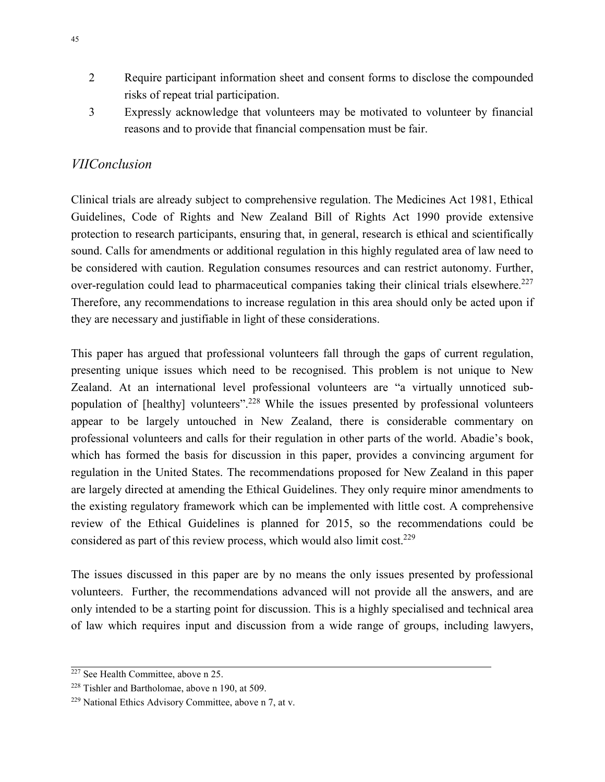- 2 Require participant information sheet and consent forms to disclose the compounded risks of repeat trial participation.
- 3 Expressly acknowledge that volunteers may be motivated to volunteer by financial reasons and to provide that financial compensation must be fair.

## *VIIConclusion*

Clinical trials are already subject to comprehensive regulation. The Medicines Act 1981, Ethical Guidelines, Code of Rights and New Zealand Bill of Rights Act 1990 provide extensive protection to research participants, ensuring that, in general, research is ethical and scientifically sound. Calls for amendments or additional regulation in this highly regulated area of law need to be considered with caution. Regulation consumes resources and can restrict autonomy. Further, over-regulation could lead to pharmaceutical companies taking their clinical trials elsewhere.<sup>227</sup> Therefore, any recommendations to increase regulation in this area should only be acted upon if they are necessary and justifiable in light of these considerations.

This paper has argued that professional volunteers fall through the gaps of current regulation, presenting unique issues which need to be recognised. This problem is not unique to New Zealand. At an international level professional volunteers are "a virtually unnoticed subpopulation of [healthy] volunteers".<sup>228</sup> While the issues presented by professional volunteers appear to be largely untouched in New Zealand, there is considerable commentary on professional volunteers and calls for their regulation in other parts of the world. Abadie's book, which has formed the basis for discussion in this paper, provides a convincing argument for regulation in the United States. The recommendations proposed for New Zealand in this paper are largely directed at amending the Ethical Guidelines. They only require minor amendments to the existing regulatory framework which can be implemented with little cost. A comprehensive review of the Ethical Guidelines is planned for 2015, so the recommendations could be considered as part of this review process, which would also limit cost.<sup>229</sup>

The issues discussed in this paper are by no means the only issues presented by professional volunteers. Further, the recommendations advanced will not provide all the answers, and are only intended to be a starting point for discussion. This is a highly specialised and technical area of law which requires input and discussion from a wide range of groups, including lawyers,

 $227$  See Health Committee, above n 25.

<sup>228</sup> Tishler and Bartholomae, above n 190, at 509.

<sup>229</sup> National Ethics Advisory Committee, above n 7, at v.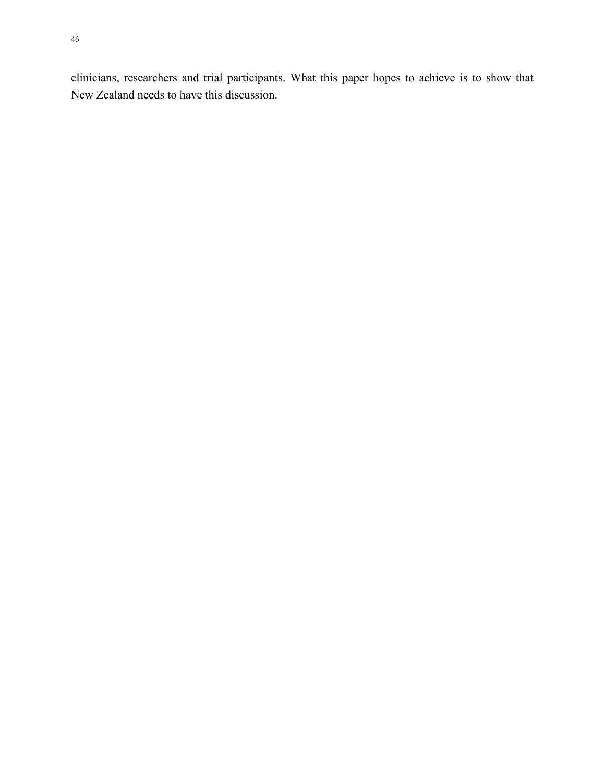clinicians, researchers and trial participants. What this paper hopes to achieve is to show that New Zealand needs to have this discussion.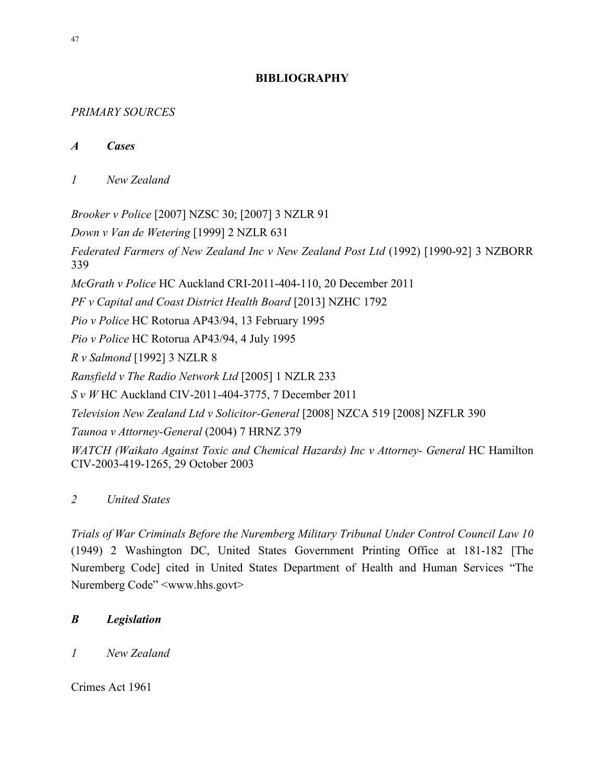#### **BIBLIOGRAPHY**

## *PRIMARY SOURCES*

## *A Cases*

*1 New Zealand* 

*Brooker v Police* [2007] NZSC 30; [2007] 3 NZLR 91

*Down v Van de Wetering* [1999] 2 NZLR 631

*Federated Farmers of New Zealand Inc v New Zealand Post Ltd* (1992) [1990-92] 3 NZBORR 339 *McGrath v Police* HC Auckland CRI-2011-404-110, 20 December 2011 *PF v Capital and Coast District Health Board* [2013] NZHC 1792 *Pio v Police* HC Rotorua AP43/94, 13 February 1995 *Pio v Police* HC Rotorua AP43/94, 4 July 1995 *R v Salmond* [1992] 3 NZLR 8 *Ransfield v The Radio Network Ltd* [2005] 1 NZLR 233 *S v W* HC Auckland CIV-2011-404-3775, 7 December 2011 *Television New Zealand Ltd v Solicitor-General* [2008] NZCA 519 [2008] NZFLR 390

*Taunoa v Attorney-General* (2004) 7 HRNZ 379

*WATCH (Waikato Against Toxic and Chemical Hazards) Inc v Attorney- General* HC Hamilton CIV-2003-419-1265, 29 October 2003

## *2 United States*

*Trials of War Criminals Before the Nuremberg Military Tribunal Under Control Council Law 10*  (1949) 2 Washington DC, United States Government Printing Office at 181-182 [The Nuremberg Code] cited in United States Department of Health and Human Services "The Nuremberg Code" <www.hhs.govt>

## *B Legislation*

*1 New Zealand* 

Crimes Act 1961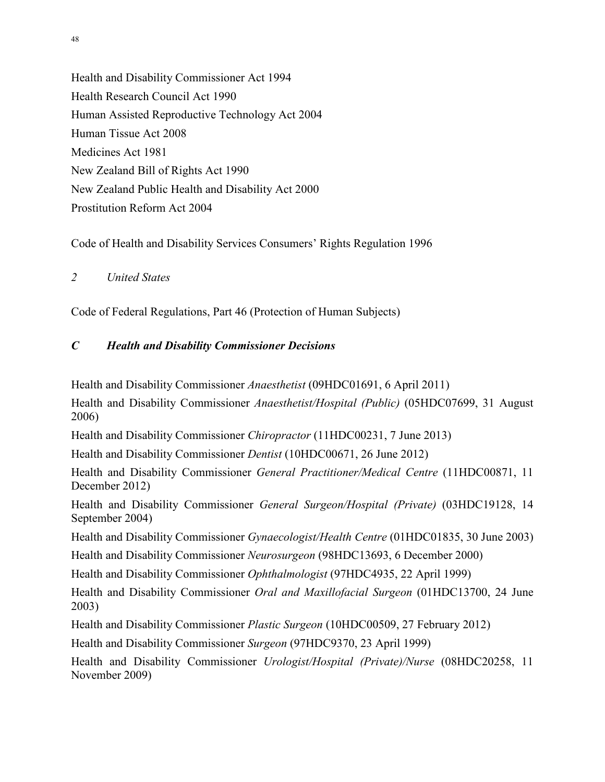Health and Disability Commissioner Act 1994 Health Research Council Act 1990 Human Assisted Reproductive Technology Act 2004 Human Tissue Act 2008 Medicines Act 1981 New Zealand Bill of Rights Act 1990 New Zealand Public Health and Disability Act 2000 Prostitution Reform Act 2004

Code of Health and Disability Services Consumers' Rights Regulation 1996

*2 United States* 

Code of Federal Regulations, Part 46 (Protection of Human Subjects)

#### *C Health and Disability Commissioner Decisions*

Health and Disability Commissioner *Anaesthetist* (09HDC01691, 6 April 2011)

Health and Disability Commissioner *Anaesthetist/Hospital (Public)* (05HDC07699, 31 August 2006)

Health and Disability Commissioner *Chiropractor* (11HDC00231, 7 June 2013)

Health and Disability Commissioner *Dentist* (10HDC00671, 26 June 2012)

Health and Disability Commissioner *General Practitioner/Medical Centre* (11HDC00871, 11 December 2012)

Health and Disability Commissioner *General Surgeon/Hospital (Private)* (03HDC19128, 14 September 2004)

Health and Disability Commissioner *Gynaecologist/Health Centre* (01HDC01835, 30 June 2003)

Health and Disability Commissioner *Neurosurgeon* (98HDC13693, 6 December 2000)

Health and Disability Commissioner *Ophthalmologist* (97HDC4935, 22 April 1999)

Health and Disability Commissioner *Oral and Maxillofacial Surgeon* (01HDC13700, 24 June 2003)

Health and Disability Commissioner *Plastic Surgeon* (10HDC00509, 27 February 2012)

Health and Disability Commissioner *Surgeon* (97HDC9370, 23 April 1999)

Health and Disability Commissioner *Urologist/Hospital (Private)/Nurse* (08HDC20258, 11 November 2009)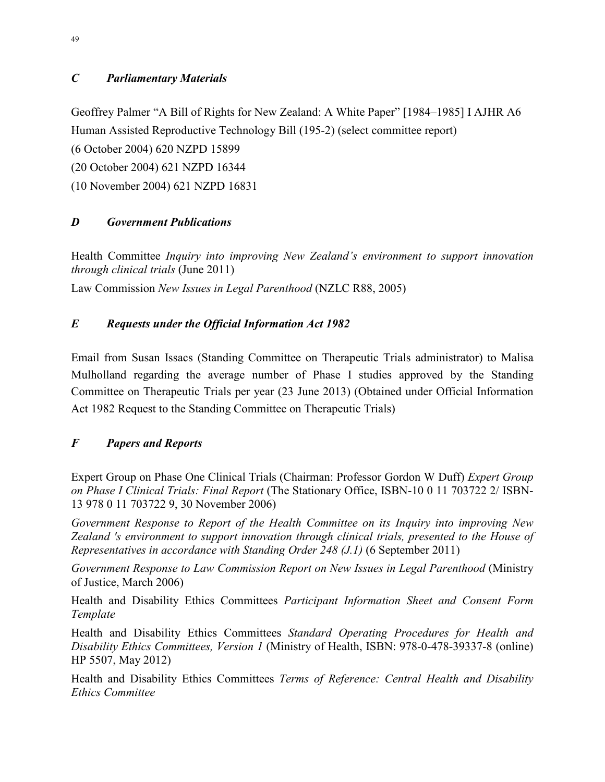#### *C Parliamentary Materials*

Geoffrey Palmer "A Bill of Rights for New Zealand: A White Paper" [1984–1985] I AJHR A6 Human Assisted Reproductive Technology Bill (195-2) (select committee report)

(6 October 2004) 620 NZPD 15899

(20 October 2004) 621 NZPD 16344

(10 November 2004) 621 NZPD 16831

## *D Government Publications*

Health Committee *Inquiry into improving New Zealand's environment to support innovation through clinical trials* (June 2011)

Law Commission *New Issues in Legal Parenthood* (NZLC R88, 2005)

## *E Requests under the Official Information Act 1982*

Email from Susan Issacs (Standing Committee on Therapeutic Trials administrator) to Malisa Mulholland regarding the average number of Phase I studies approved by the Standing Committee on Therapeutic Trials per year (23 June 2013) (Obtained under Official Information Act 1982 Request to the Standing Committee on Therapeutic Trials)

## *F Papers and Reports*

Expert Group on Phase One Clinical Trials (Chairman: Professor Gordon W Duff) *Expert Group on Phase I Clinical Trials: Final Report* (The Stationary Office, ISBN-10 0 11 703722 2/ ISBN-13 978 0 11 703722 9, 30 November 2006)

*Government Response to Report of the Health Committee on its Inquiry into improving New Zealand 's environment to support innovation through clinical trials, presented to the House of Representatives in accordance with Standing Order 248 (J.1)* (6 September 2011)

*Government Response to Law Commission Report on New Issues in Legal Parenthood* (Ministry of Justice, March 2006)

Health and Disability Ethics Committees *Participant Information Sheet and Consent Form Template*

Health and Disability Ethics Committees *Standard Operating Procedures for Health and Disability Ethics Committees, Version 1* (Ministry of Health, ISBN: 978-0-478-39337-8 (online) HP 5507, May 2012)

Health and Disability Ethics Committees *Terms of Reference: Central Health and Disability Ethics Committee*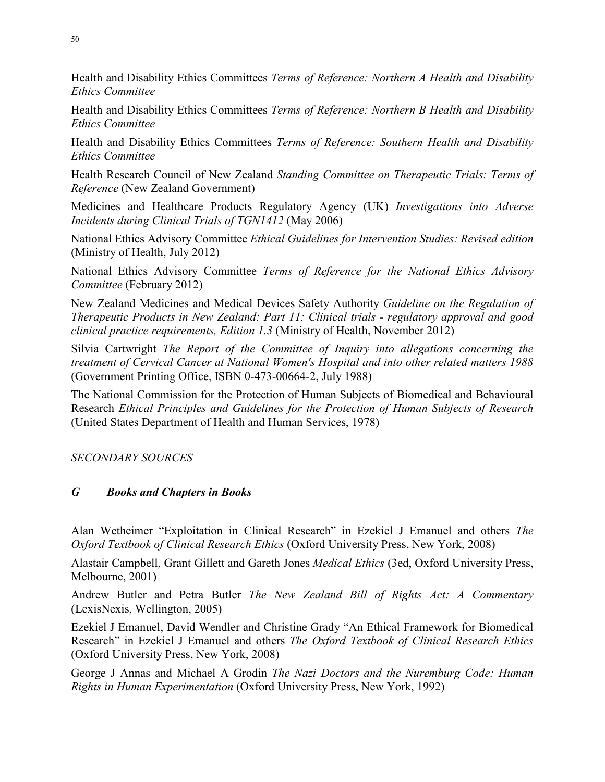Health and Disability Ethics Committees *Terms of Reference: Northern A Health and Disability Ethics Committee*

Health and Disability Ethics Committees *Terms of Reference: Northern B Health and Disability Ethics Committee*

Health and Disability Ethics Committees *Terms of Reference: Southern Health and Disability Ethics Committee*

Health Research Council of New Zealand *Standing Committee on Therapeutic Trials: Terms of Reference* (New Zealand Government)

Medicines and Healthcare Products Regulatory Agency (UK) *Investigations into Adverse Incidents during Clinical Trials of TGN1412* (May 2006)

National Ethics Advisory Committee *Ethical Guidelines for Intervention Studies: Revised edition* (Ministry of Health, July 2012)

National Ethics Advisory Committee *Terms of Reference for the National Ethics Advisory Committee* (February 2012)

New Zealand Medicines and Medical Devices Safety Authority *Guideline on the Regulation of Therapeutic Products in New Zealand: Part 11: Clinical trials - regulatory approval and good clinical practice requirements, Edition 1.3* (Ministry of Health, November 2012)

Silvia Cartwright *The Report of the Committee of Inquiry into allegations concerning the treatment of Cervical Cancer at National Women's Hospital and into other related matters 1988* (Government Printing Office, ISBN 0-473-00664-2, July 1988)

The National Commission for the Protection of Human Subjects of Biomedical and Behavioural Research *Ethical Principles and Guidelines for the Protection of Human Subjects of Research* (United States Department of Health and Human Services, 1978)

*SECONDARY SOURCES* 

#### *G Books and Chapters in Books*

Alan Wetheimer "Exploitation in Clinical Research" in Ezekiel J Emanuel and others *The Oxford Textbook of Clinical Research Ethics* (Oxford University Press, New York, 2008)

Alastair Campbell, Grant Gillett and Gareth Jones *Medical Ethics* (3ed, Oxford University Press, Melbourne, 2001)

Andrew Butler and Petra Butler *The New Zealand Bill of Rights Act: A Commentary* (LexisNexis, Wellington, 2005)

Ezekiel J Emanuel, David Wendler and Christine Grady "An Ethical Framework for Biomedical Research" in Ezekiel J Emanuel and others *The Oxford Textbook of Clinical Research Ethics* (Oxford University Press, New York, 2008)

George J Annas and Michael A Grodin *The Nazi Doctors and the Nuremburg Code: Human Rights in Human Experimentation* (Oxford University Press, New York, 1992)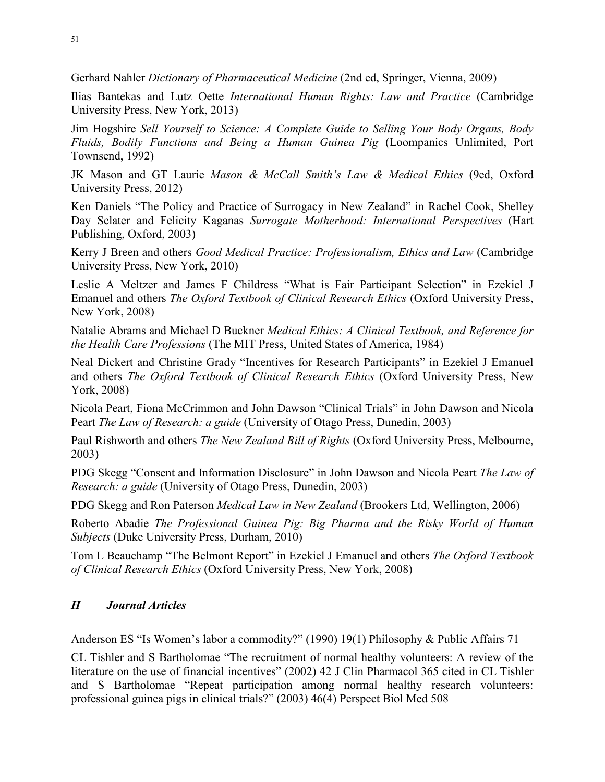Gerhard Nahler *Dictionary of Pharmaceutical Medicine* (2nd ed, Springer, Vienna, 2009)

Ilias Bantekas and Lutz Oette *International Human Rights: Law and Practice* (Cambridge University Press, New York, 2013)

Jim Hogshire *Sell Yourself to Science: A Complete Guide to Selling Your Body Organs, Body Fluids, Bodily Functions and Being a Human Guinea Pig* (Loompanics Unlimited, Port Townsend, 1992)

JK Mason and GT Laurie *Mason & McCall Smith's Law & Medical Ethics* (9ed, Oxford University Press, 2012)

Ken Daniels "The Policy and Practice of Surrogacy in New Zealand" in Rachel Cook, Shelley Day Sclater and Felicity Kaganas *Surrogate Motherhood: International Perspectives* (Hart Publishing, Oxford, 2003)

Kerry J Breen and others *Good Medical Practice: Professionalism, Ethics and Law* (Cambridge University Press, New York, 2010)

Leslie A Meltzer and James F Childress "What is Fair Participant Selection" in Ezekiel J Emanuel and others *The Oxford Textbook of Clinical Research Ethics* (Oxford University Press, New York, 2008)

Natalie Abrams and Michael D Buckner *Medical Ethics: A Clinical Textbook, and Reference for the Health Care Professions* (The MIT Press, United States of America, 1984)

Neal Dickert and Christine Grady "Incentives for Research Participants" in Ezekiel J Emanuel and others *The Oxford Textbook of Clinical Research Ethics* (Oxford University Press, New York, 2008)

Nicola Peart, Fiona McCrimmon and John Dawson "Clinical Trials" in John Dawson and Nicola Peart *The Law of Research: a guide* (University of Otago Press, Dunedin, 2003)

Paul Rishworth and others *The New Zealand Bill of Rights* (Oxford University Press, Melbourne, 2003)

PDG Skegg "Consent and Information Disclosure" in John Dawson and Nicola Peart *The Law of Research: a guide* (University of Otago Press, Dunedin, 2003)

PDG Skegg and Ron Paterson *Medical Law in New Zealand* (Brookers Ltd, Wellington, 2006)

Roberto Abadie *The Professional Guinea Pig: Big Pharma and the Risky World of Human Subjects* (Duke University Press, Durham, 2010)

Tom L Beauchamp "The Belmont Report" in Ezekiel J Emanuel and others *The Oxford Textbook of Clinical Research Ethics* (Oxford University Press, New York, 2008)

#### *H Journal Articles*

Anderson ES "Is Women's labor a commodity?" (1990) 19(1) Philosophy & Public Affairs 71

CL Tishler and S Bartholomae "The recruitment of normal healthy volunteers: A review of the literature on the use of financial incentives" (2002) 42 J Clin Pharmacol 365 cited in CL Tishler and S Bartholomae "Repeat participation among normal healthy research volunteers: professional guinea pigs in clinical trials?" (2003) 46(4) Perspect Biol Med 508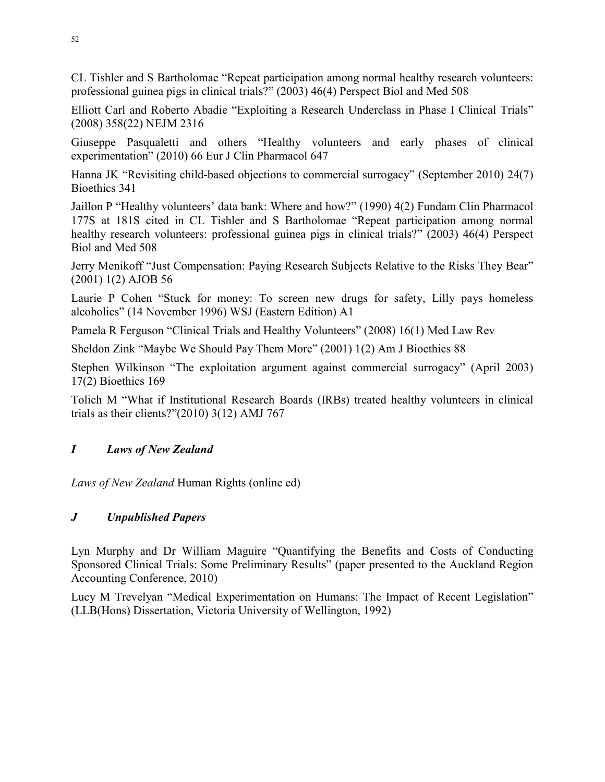CL Tishler and S Bartholomae "Repeat participation among normal healthy research volunteers: professional guinea pigs in clinical trials?" (2003) 46(4) Perspect Biol and Med 508

Elliott Carl and Roberto Abadie "Exploiting a Research Underclass in Phase I Clinical Trials" (2008) 358(22) NEJM 2316

Giuseppe Pasqualetti and others "Healthy volunteers and early phases of clinical experimentation" (2010) 66 Eur J Clin Pharmacol 647

Hanna JK "Revisiting child-based objections to commercial surrogacy" (September 2010) 24(7) Bioethics 341

Jaillon P "Healthy volunteers' data bank: Where and how?" (1990) 4(2) Fundam Clin Pharmacol 177S at 181S cited in CL Tishler and S Bartholomae "Repeat participation among normal healthy research volunteers: professional guinea pigs in clinical trials?" (2003) 46(4) Perspect Biol and Med 508

Jerry Menikoff "Just Compensation: Paying Research Subjects Relative to the Risks They Bear" (2001) 1(2) AJOB 56

Laurie P Cohen "Stuck for money: To screen new drugs for safety, Lilly pays homeless alcoholics" (14 November 1996) WSJ (Eastern Edition) A1

Pamela R Ferguson "Clinical Trials and Healthy Volunteers" (2008) 16(1) Med Law Rev

Sheldon Zink "Maybe We Should Pay Them More" (2001) 1(2) Am J Bioethics 88

Stephen Wilkinson "The exploitation argument against commercial surrogacy" (April 2003) 17(2) Bioethics 169

Tolich M "What if Institutional Research Boards (IRBs) treated healthy volunteers in clinical trials as their clients?" $(2010)$  3(12) AMJ 767

#### *I Laws of New Zealand*

*Laws of New Zealand* Human Rights (online ed)

#### *J Unpublished Papers*

Lyn Murphy and Dr William Maguire "Quantifying the Benefits and Costs of Conducting Sponsored Clinical Trials: Some Preliminary Results" (paper presented to the Auckland Region Accounting Conference, 2010)

Lucy M Trevelyan "Medical Experimentation on Humans: The Impact of Recent Legislation" (LLB(Hons) Dissertation, Victoria University of Wellington, 1992)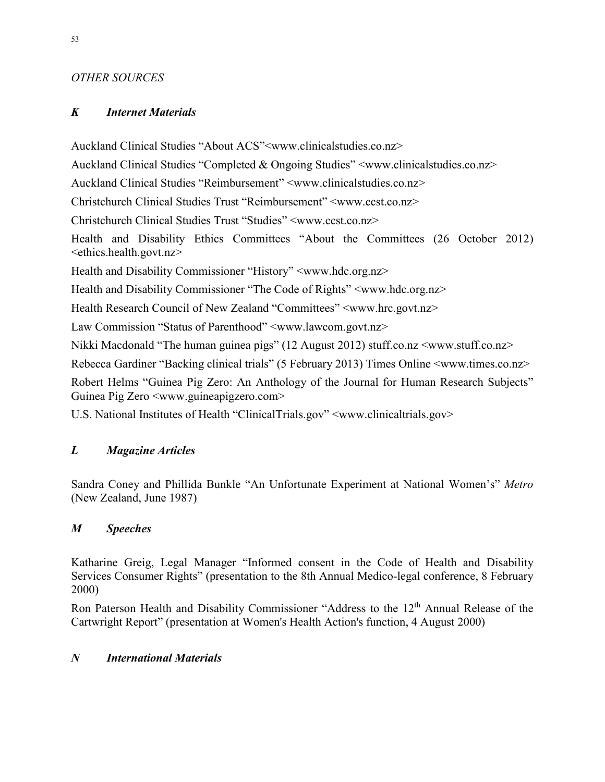#### *OTHER SOURCES*

#### *K Internet Materials*

Auckland Clinical Studies "About ACS"<www.clinicalstudies.co.nz>

Auckland Clinical Studies "Completed & Ongoing Studies" <www.clinicalstudies.co.nz>

Auckland Clinical Studies "Reimbursement" <www.clinicalstudies.co.nz>

Christchurch Clinical Studies Trust "Reimbursement" <www.ccst.co.nz>

Christchurch Clinical Studies Trust "Studies" <www.ccst.co.nz>

Health and Disability Ethics Committees "About the Committees (26 October 2012) <ethics.health.govt.nz>

Health and Disability Commissioner "History" <www.hdc.org.nz>

Health and Disability Commissioner "The Code of Rights" <www.hdc.org.nz>

Health Research Council of New Zealand "Committees" <www.hrc.govt.nz>

Law Commission "Status of Parenthood" <www.lawcom.govt.nz>

Nikki Macdonald "The human guinea pigs" (12 August 2012) stuff.co.nz <www.stuff.co.nz>

Rebecca Gardiner "Backing clinical trials" (5 February 2013) Times Online <www.times.co.nz>

Robert Helms "Guinea Pig Zero: An Anthology of the Journal for Human Research Subjects" Guinea Pig Zero <www.guineapigzero.com>

U.S. National Institutes of Health "ClinicalTrials.gov" <www.clinicaltrials.gov>

## *L Magazine Articles*

Sandra Coney and Phillida Bunkle "An Unfortunate Experiment at National Women's" *Metro*  (New Zealand, June 1987)

## *M Speeches*

Katharine Greig, Legal Manager "Informed consent in the Code of Health and Disability Services Consumer Rights" (presentation to the 8th Annual Medico-legal conference, 8 February 2000)

Ron Paterson Health and Disability Commissioner "Address to the 12<sup>th</sup> Annual Release of the Cartwright Report" (presentation at Women's Health Action's function, 4 August 2000)

## *N International Materials*